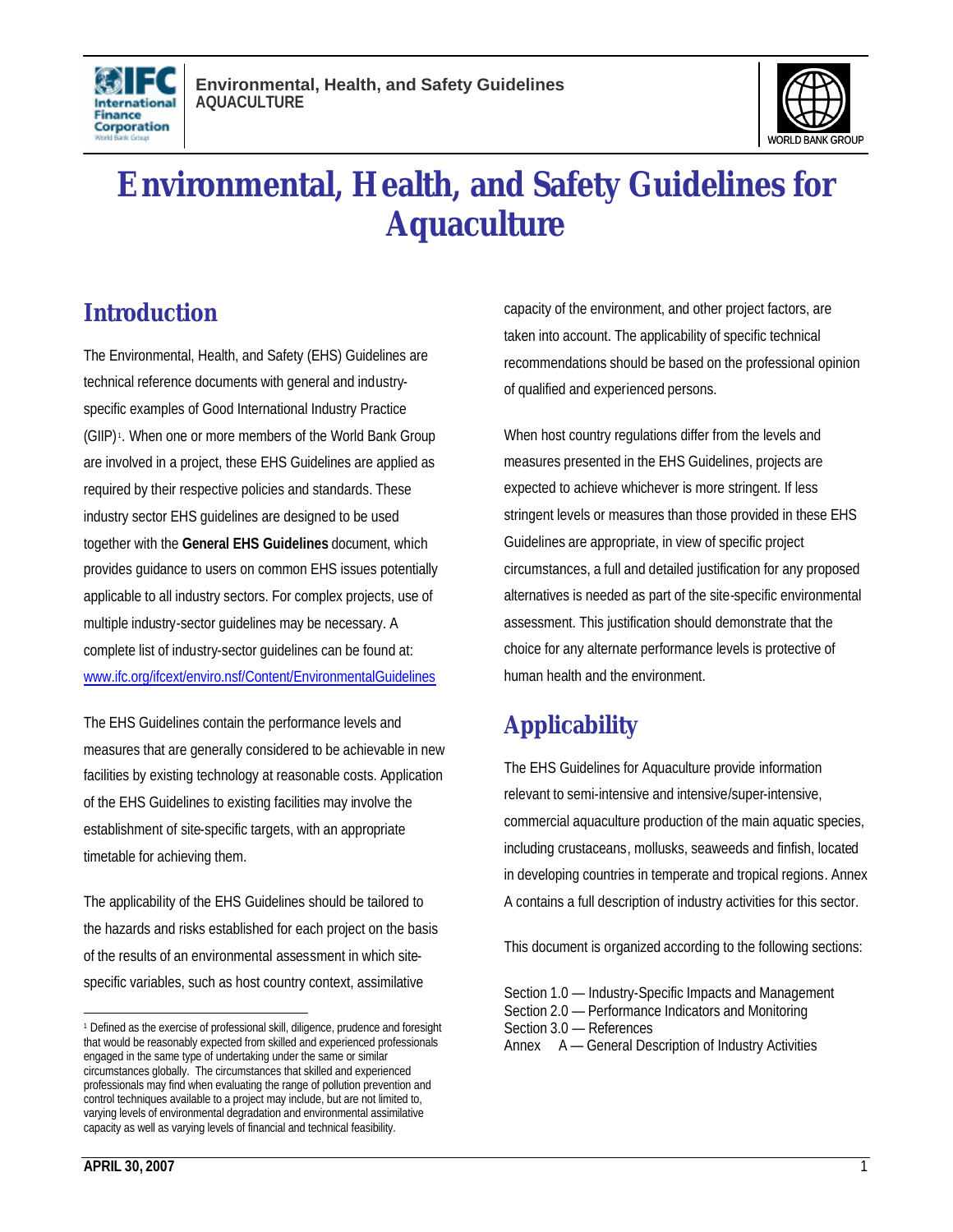



# **Environmental, Health, and Safety Guidelines for Aquaculture**

## **Introduction**

The Environmental, Health, and Safety (EHS) Guidelines are technical reference documents with general and industryspecific examples of Good International Industry Practice (GIIP) <sup>1</sup> . When one or more members of the World Bank Group are involved in a project, these EHS Guidelines are applied as required by their respective policies and standards. These industry sector EHS guidelines are designed to be used together with the **General EHS Guidelines** document, which provides guidance to users on common EHS issues potentially applicable to all industry sectors. For complex projects, use of multiple industry-sector guidelines may be necessary. A complete list of industry-sector guidelines can be found at: www.ifc.org/ifcext/enviro.nsf/Content/EnvironmentalGuidelines

The EHS Guidelines contain the performance levels and measures that are generally considered to be achievable in new facilities by existing technology at reasonable costs. Application of the EHS Guidelines to existing facilities may involve the establishment of site-specific targets, with an appropriate timetable for achieving them.

The applicability of the EHS Guidelines should be tailored to the hazards and risks established for each project on the basis of the results of an environmental assessment in which sitespecific variables, such as host country context, assimilative

capacity of the environment, and other project factors, are taken into account. The applicability of specific technical recommendations should be based on the professional opinion of qualified and experienced persons.

When host country regulations differ from the levels and measures presented in the EHS Guidelines, projects are expected to achieve whichever is more stringent. If less stringent levels or measures than those provided in these EHS Guidelines are appropriate, in view of specific project circumstances, a full and detailed justification for any proposed alternatives is needed as part of the site-specific environmental assessment. This justification should demonstrate that the choice for any alternate performance levels is protective of human health and the environment.

## **Applicability**

The EHS Guidelines for Aquaculture provide information relevant to semi-intensive and intensive/super-intensive, commercial aquaculture production of the main aquatic species, including crustaceans, mollusks, seaweeds and finfish, located in developing countries in temperate and tropical regions. Annex A contains a full description of industry activities for this sector.

This document is organized according to the following sections:

 $\overline{a}$ <sup>1</sup> Defined as the exercise of professional skill, diligence, prudence and foresight that would be reasonably expected from skilled and experienced professionals engaged in the same type of undertaking under the same or similar circumstances globally. The circumstances that skilled and experienced professionals may find when evaluating the range of pollution prevention and control techniques available to a project may include, but are not limited to, varying levels of environmental degradation and environmental assimilative capacity as well as varying levels of financial and technical feasibility.

Section 1.0 — Industry-Specific Impacts and Management Section 2.0 — Performance Indicators and Monitoring Section 3.0 — References Annex A — General Description of Industry Activities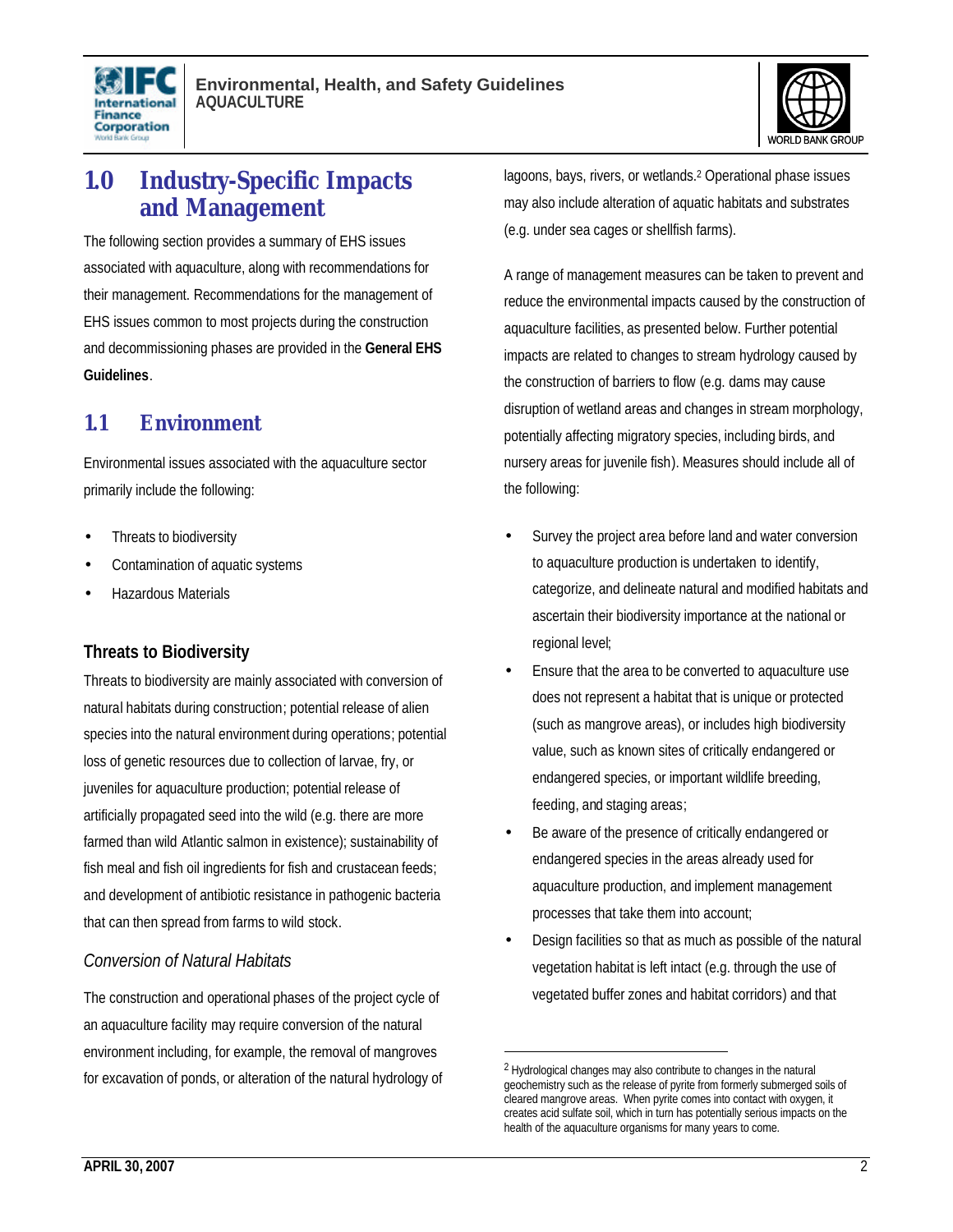



## **1.0 Industry-Specific Impacts and Management**

The following section provides a summary of EHS issues associated with aquaculture, along with recommendations for their management. Recommendations for the management of EHS issues common to most projects during the construction and decommissioning phases are provided in the **General EHS Guidelines**.

## **1.1 Environment**

Environmental issues associated with the aquaculture sector primarily include the following:

- Threats to biodiversity
- Contamination of aquatic systems
- Hazardous Materials

### **Threats to Biodiversity**

Threats to biodiversity are mainly associated with conversion of natural habitats during construction; potential release of alien species into the natural environment during operations; potential loss of genetic resources due to collection of larvae, fry, or juveniles for aquaculture production; potential release of artificially propagated seed into the wild (e.g. there are more farmed than wild Atlantic salmon in existence); sustainability of fish meal and fish oil ingredients for fish and crustacean feeds; and development of antibiotic resistance in pathogenic bacteria that can then spread from farms to wild stock.

#### *Conversion of Natural Habitats*

The construction and operational phases of the project cycle of an aquaculture facility may require conversion of the natural environment including, for example, the removal of mangroves for excavation of ponds, or alteration of the natural hydrology of lagoons, bays, rivers, or wetlands.<sup>2</sup> Operational phase issues may also include alteration of aquatic habitats and substrates (e.g. under sea cages or shellfish farms).

A range of management measures can be taken to prevent and reduce the environmental impacts caused by the construction of aquaculture facilities, as presented below. Further potential impacts are related to changes to stream hydrology caused by the construction of barriers to flow (e.g. dams may cause disruption of wetland areas and changes in stream morphology, potentially affecting migratory species, including birds, and nursery areas for juvenile fish). Measures should include all of the following:

- Survey the project area before land and water conversion to aquaculture production is undertaken to identify, categorize, and delineate natural and modified habitats and ascertain their biodiversity importance at the national or regional level;
- Ensure that the area to be converted to aquaculture use does not represent a habitat that is unique or protected (such as mangrove areas), or includes high biodiversity value, such as known sites of critically endangered or endangered species, or important wildlife breeding, feeding, and staging areas;
- Be aware of the presence of critically endangered or endangered species in the areas already used for aquaculture production, and implement management processes that take them into account;
- Design facilities so that as much as possible of the natural vegetation habitat is left intact (e.g. through the use of vegetated buffer zones and habitat corridors) and that

<sup>2</sup> Hydrological changes may also contribute to changes in the natural geochemistry such as the release of pyrite from formerly submerged soils of cleared mangrove areas. When pyrite comes into contact with oxygen, it creates acid sulfate soil, which in turn has potentially serious impacts on the health of the aquaculture organisms for many years to come.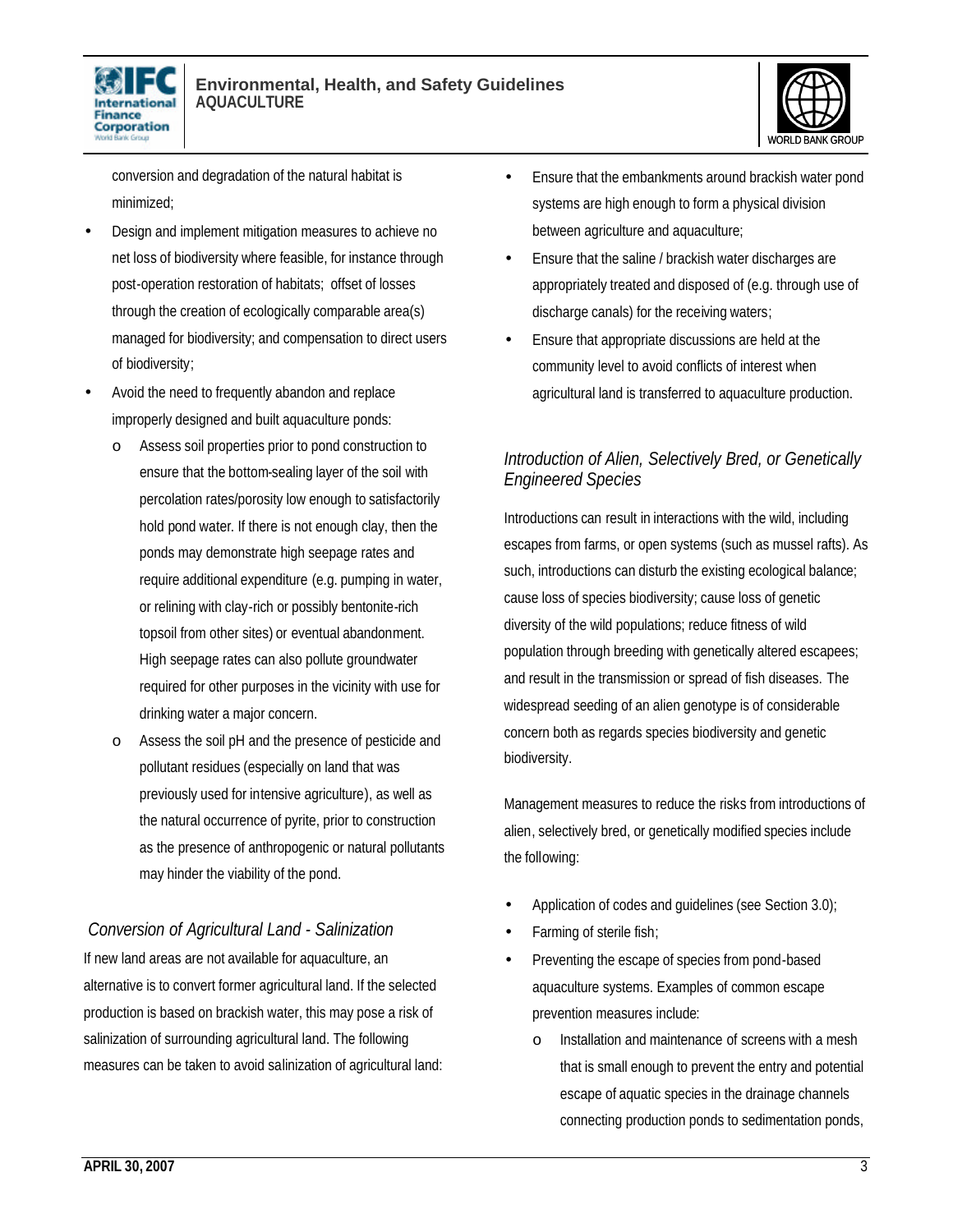



conversion and degradation of the natural habitat is minimized;

- Design and implement mitigation measures to achieve no net loss of biodiversity where feasible, for instance through post-operation restoration of habitats; offset of losses through the creation of ecologically comparable area(s) managed for biodiversity; and compensation to direct users of biodiversity;
- Avoid the need to frequently abandon and replace improperly designed and built aquaculture ponds:
	- Assess soil properties prior to pond construction to ensure that the bottom-sealing layer of the soil with percolation rates/porosity low enough to satisfactorily hold pond water. If there is not enough clay, then the ponds may demonstrate high seepage rates and require additional expenditure (e.g. pumping in water, or relining with clay-rich or possibly bentonite-rich topsoil from other sites) or eventual abandonment. High seepage rates can also pollute groundwater required for other purposes in the vicinity with use for drinking water a major concern.
	- o Assess the soil pH and the presence of pesticide and pollutant residues (especially on land that was previously used for intensive agriculture), as well as the natural occurrence of pyrite, prior to construction as the presence of anthropogenic or natural pollutants may hinder the viability of the pond.

### *Conversion of Agricultural Land - Salinization*

If new land areas are not available for aquaculture, an alternative is to convert former agricultural land. If the selected production is based on brackish water, this may pose a risk of salinization of surrounding agricultural land. The following measures can be taken to avoid salinization of agricultural land:

- Ensure that the embankments around brackish water pond systems are high enough to form a physical division between agriculture and aquaculture;
- Ensure that the saline / brackish water discharges are appropriately treated and disposed of (e.g. through use of discharge canals) for the receiving waters;
- Ensure that appropriate discussions are held at the community level to avoid conflicts of interest when agricultural land is transferred to aquaculture production.

### *Introduction of Alien, Selectively Bred, or Genetically Engineered Species*

Introductions can result in interactions with the wild, including escapes from farms, or open systems (such as mussel rafts). As such, introductions can disturb the existing ecological balance; cause loss of species biodiversity; cause loss of genetic diversity of the wild populations; reduce fitness of wild population through breeding with genetically altered escapees; and result in the transmission or spread of fish diseases. The widespread seeding of an alien genotype is of considerable concern both as regards species biodiversity and genetic biodiversity.

Management measures to reduce the risks from introductions of alien, selectively bred, or genetically modified species include the following:

- Application of codes and guidelines (see Section 3.0);
- Farming of sterile fish;
- Preventing the escape of species from pond-based aquaculture systems. Examples of common escape prevention measures include:
	- o Installation and maintenance of screens with a mesh that is small enough to prevent the entry and potential escape of aquatic species in the drainage channels connecting production ponds to sedimentation ponds,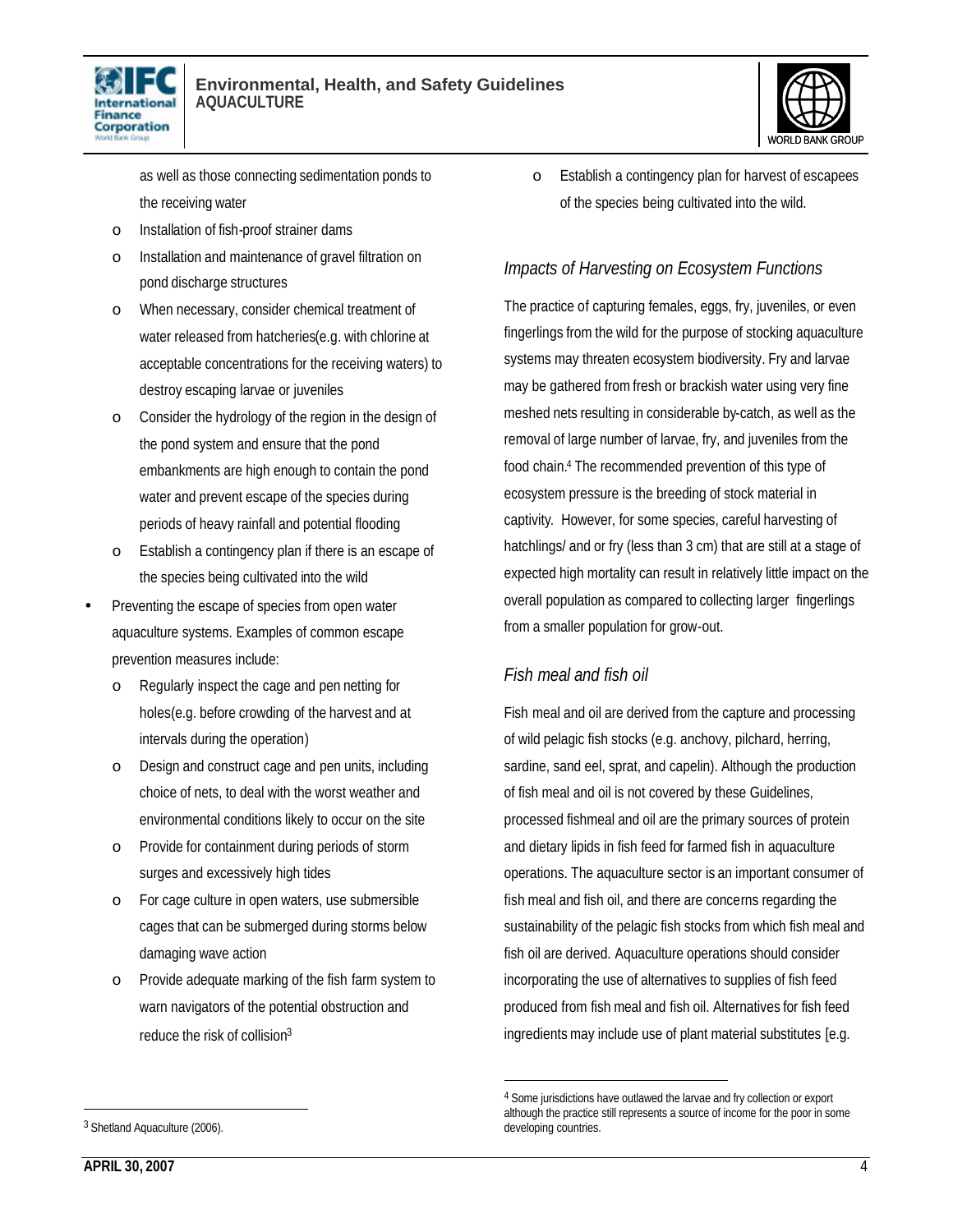



as well as those connecting sedimentation ponds to the receiving water

- o Installation of fish-proof strainer dams
- o Installation and maintenance of gravel filtration on pond discharge structures
- o When necessary, consider chemical treatment of water released from hatcheries(e.g. with chlorine at acceptable concentrations for the receiving waters) to destroy escaping larvae or juveniles
- o Consider the hydrology of the region in the design of the pond system and ensure that the pond embankments are high enough to contain the pond water and prevent escape of the species during periods of heavy rainfall and potential flooding
- o Establish a contingency plan if there is an escape of the species being cultivated into the wild
- Preventing the escape of species from open water aquaculture systems. Examples of common escape prevention measures include:
	- o Regularly inspect the cage and pen netting for holes(e.g. before crowding of the harvest and at intervals during the operation)
	- o Design and construct cage and pen units, including choice of nets, to deal with the worst weather and environmental conditions likely to occur on the site
	- o Provide for containment during periods of storm surges and excessively high tides
	- o For cage culture in open waters, use submersible cages that can be submerged during storms below damaging wave action
	- o Provide adequate marking of the fish farm system to warn navigators of the potential obstruction and reduce the risk of collision<sup>3</sup>

o Establish a contingency plan for harvest of escapees of the species being cultivated into the wild.

### *Impacts of Harvesting on Ecosystem Functions*

The practice of capturing females, eggs, fry, juveniles, or even fingerlings from the wild for the purpose of stocking aquaculture systems may threaten ecosystem biodiversity. Fry and larvae may be gathered from fresh or brackish water using very fine meshed nets resulting in considerable by-catch, as well as the removal of large number of larvae, fry, and juveniles from the food chain.<sup>4</sup> The recommended prevention of this type of ecosystem pressure is the breeding of stock material in captivity. However, for some species, careful harvesting of hatchlings/ and or fry (less than 3 cm) that are still at a stage of expected high mortality can result in relatively little impact on the overall population as compared to collecting larger fingerlings from a smaller population for grow-out.

#### *Fish meal and fish oil*

 $\overline{a}$ 

Fish meal and oil are derived from the capture and processing of wild pelagic fish stocks (e.g. anchovy, pilchard, herring, sardine, sand eel, sprat, and capelin). Although the production of fish meal and oil is not covered by these Guidelines, processed fishmeal and oil are the primary sources of protein and dietary lipids in fish feed for farmed fish in aquaculture operations. The aquaculture sector is an important consumer of fish meal and fish oil, and there are concerns regarding the sustainability of the pelagic fish stocks from which fish meal and fish oil are derived. Aquaculture operations should consider incorporating the use of alternatives to supplies of fish feed produced from fish meal and fish oil. Alternatives for fish feed ingredients may include use of plant material substitutes [e.g.

<sup>&</sup>lt;sup>4</sup> Some jurisdictions have outlawed the larvae and fry collection or export although the practice still represents a source of income for the poor in some developing countries.

<sup>3</sup> Shetland Aquaculture (2006).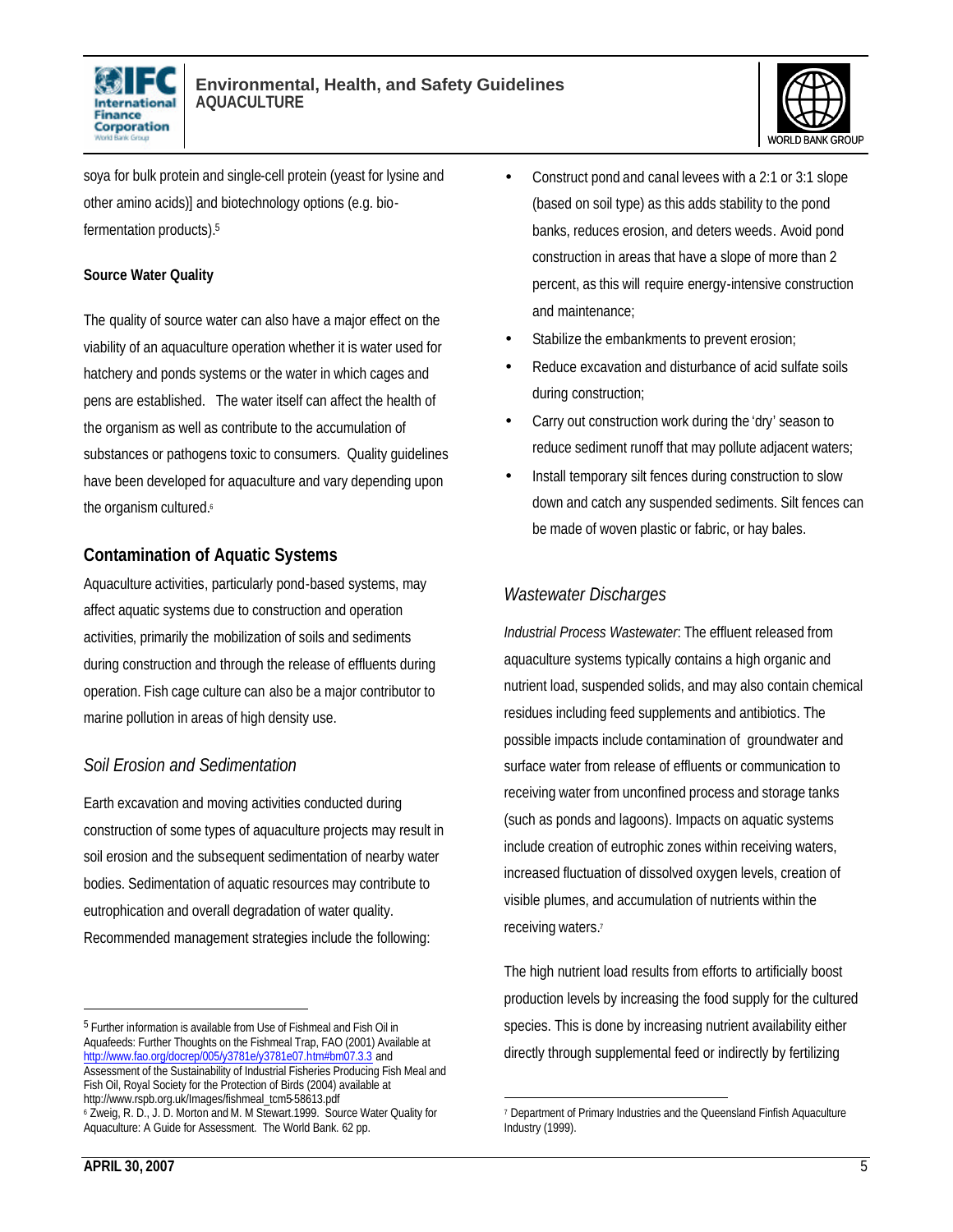



soya for bulk protein and single-cell protein (yeast for lysine and other amino acids)] and biotechnology options (e.g. biofermentation products).<sup>5</sup>

#### **Source Water Quality**

The quality of source water can also have a major effect on the viability of an aquaculture operation whether it is water used for hatchery and ponds systems or the water in which cages and pens are established. The water itself can affect the health of the organism as well as contribute to the accumulation of substances or pathogens toxic to consumers. Quality guidelines have been developed for aquaculture and vary depending upon the organism cultured.6

### **Contamination of Aquatic Systems**

Aquaculture activities, particularly pond-based systems, may affect aquatic systems due to construction and operation activities, primarily the mobilization of soils and sediments during construction and through the release of effluents during operation. Fish cage culture can also be a major contributor to marine pollution in areas of high density use.

#### *Soil Erosion and Sedimentation*

Earth excavation and moving activities conducted during construction of some types of aquaculture projects may result in soil erosion and the subsequent sedimentation of nearby water bodies. Sedimentation of aquatic resources may contribute to eutrophication and overall degradation of water quality. Recommended management strategies include the following:

- Construct pond and canal levees with a 2:1 or 3:1 slope (based on soil type) as this adds stability to the pond banks, reduces erosion, and deters weeds. Avoid pond construction in areas that have a slope of more than 2 percent, as this will require energy-intensive construction and maintenance;
- Stabilize the embankments to prevent erosion;
- Reduce excavation and disturbance of acid sulfate soils during construction;
- Carry out construction work during the 'dry' season to reduce sediment runoff that may pollute adjacent waters;
- Install temporary silt fences during construction to slow down and catch any suspended sediments. Silt fences can be made of woven plastic or fabric, or hay bales.

## *Wastewater Discharges*

*Industrial Process Wastewater*: The effluent released from aquaculture systems typically contains a high organic and nutrient load, suspended solids, and may also contain chemical residues including feed supplements and antibiotics. The possible impacts include contamination of groundwater and surface water from release of effluents or communication to receiving water from unconfined process and storage tanks (such as ponds and lagoons). Impacts on aquatic systems include creation of eutrophic zones within receiving waters, increased fluctuation of dissolved oxygen levels, creation of visible plumes, and accumulation of nutrients within the receiving waters.<sup>7</sup>

The high nutrient load results from efforts to artificially boost production levels by increasing the food supply for the cultured species. This is done by increasing nutrient availability either directly through supplemental feed or indirectly by fertilizing

<sup>&</sup>lt;sup>5</sup> Further information is available from Use of Fishmeal and Fish Oil in Aquafeeds: Further Thoughts on the Fishmeal Trap, FAO (2001) Available at http://www.fao.org/docrep/005/y3781e/y3781e07.htm#bm07.3.3 and Assessment of the Sustainability of Industrial Fisheries Producing Fish Meal and Fish Oil, Royal Society for the Protection of Birds (2004) available at http://www.rspb.org.uk/Images/fishmeal\_tcm5-58613.pdf 6 Zweig, R. D., J. D. Morton and M. M Stewart.1999. Source Water Quality for Aquaculture: A Guide for Assessment. The World Bank. 62 pp.

 $\overline{a}$ 7 Department of Primary Industries and the Queensland Finfish Aquaculture Industry (1999).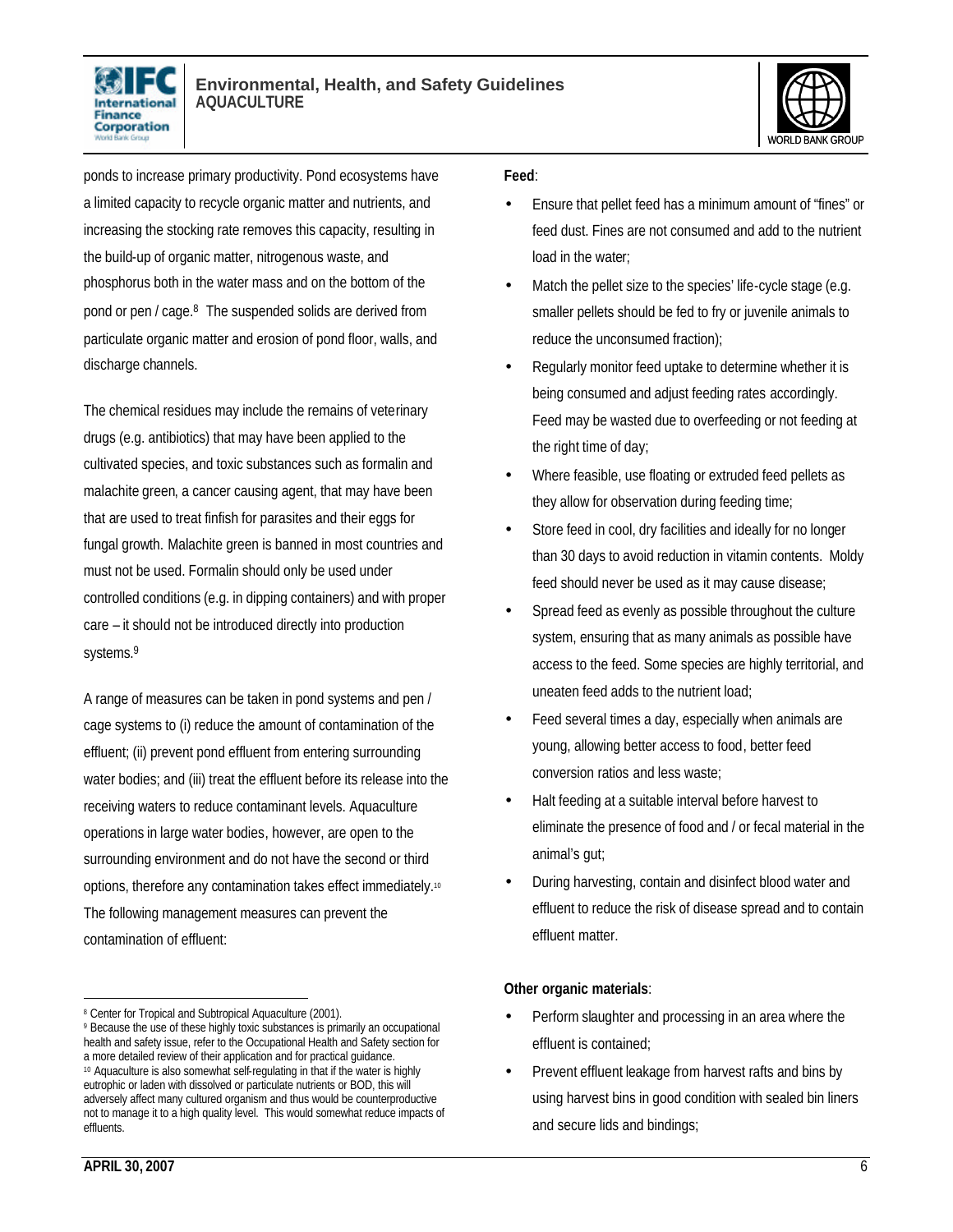



ponds to increase primary productivity. Pond ecosystems have a limited capacity to recycle organic matter and nutrients, and increasing the stocking rate removes this capacity, resulting in the build-up of organic matter, nitrogenous waste, and phosphorus both in the water mass and on the bottom of the pond or pen / cage.<sup>8</sup> The suspended solids are derived from particulate organic matter and erosion of pond floor, walls, and discharge channels.

The chemical residues may include the remains of veterinary drugs (e.g. antibiotics) that may have been applied to the cultivated species, and toxic substances such as formalin and malachite green, a cancer causing agent, that may have been that are used to treat finfish for parasites and their eggs for fungal growth. Malachite green is banned in most countries and must not be used. Formalin should only be used under controlled conditions (e.g. in dipping containers) and with proper care – it should not be introduced directly into production systems.<sup>9</sup>

A range of measures can be taken in pond systems and pen / cage systems to (i) reduce the amount of contamination of the effluent; (ii) prevent pond effluent from entering surrounding water bodies; and (iii) treat the effluent before its release into the receiving waters to reduce contaminant levels. Aquaculture operations in large water bodies, however, are open to the surrounding environment and do not have the second or third options, therefore any contamination takes effect immediately.<sup>10</sup> The following management measures can prevent the contamination of effluent:

#### **Feed**:

- Ensure that pellet feed has a minimum amount of "fines" or feed dust. Fines are not consumed and add to the nutrient load in the water;
- Match the pellet size to the species' life-cycle stage (e.g. smaller pellets should be fed to fry or juvenile animals to reduce the unconsumed fraction);
- Regularly monitor feed uptake to determine whether it is being consumed and adjust feeding rates accordingly. Feed may be wasted due to overfeeding or not feeding at the right time of day;
- Where feasible, use floating or extruded feed pellets as they allow for observation during feeding time;
- Store feed in cool, dry facilities and ideally for no longer than 30 days to avoid reduction in vitamin contents. Moldy feed should never be used as it may cause disease;
- Spread feed as evenly as possible throughout the culture system, ensuring that as many animals as possible have access to the feed. Some species are highly territorial, and uneaten feed adds to the nutrient load;
- Feed several times a day, especially when animals are young, allowing better access to food, better feed conversion ratios and less waste;
- Halt feeding at a suitable interval before harvest to eliminate the presence of food and / or fecal material in the animal's gut;
- During harvesting, contain and disinfect blood water and effluent to reduce the risk of disease spread and to contain effluent matter.

#### **Other organic materials**:

- Perform slaughter and processing in an area where the effluent is contained;
- Prevent effluent leakage from harvest rafts and bins by using harvest bins in good condition with sealed bin liners and secure lids and bindings;

e<br>B Center for Tropical and Subtropical Aquaculture (2001).

<sup>9</sup> Because the use of these highly toxic substances is primarily an occupational health and safety issue, refer to the Occupational Health and Safety section for a more detailed review of their application and for practical guidance. <sup>10</sup> Aquaculture is also somewhat self-regulating in that if the water is highly eutrophic or laden with dissolved or particulate nutrients or BOD, this will adversely affect many cultured organism and thus would be counterproductive not to manage it to a high quality level. This would somewhat reduce impacts of effluents.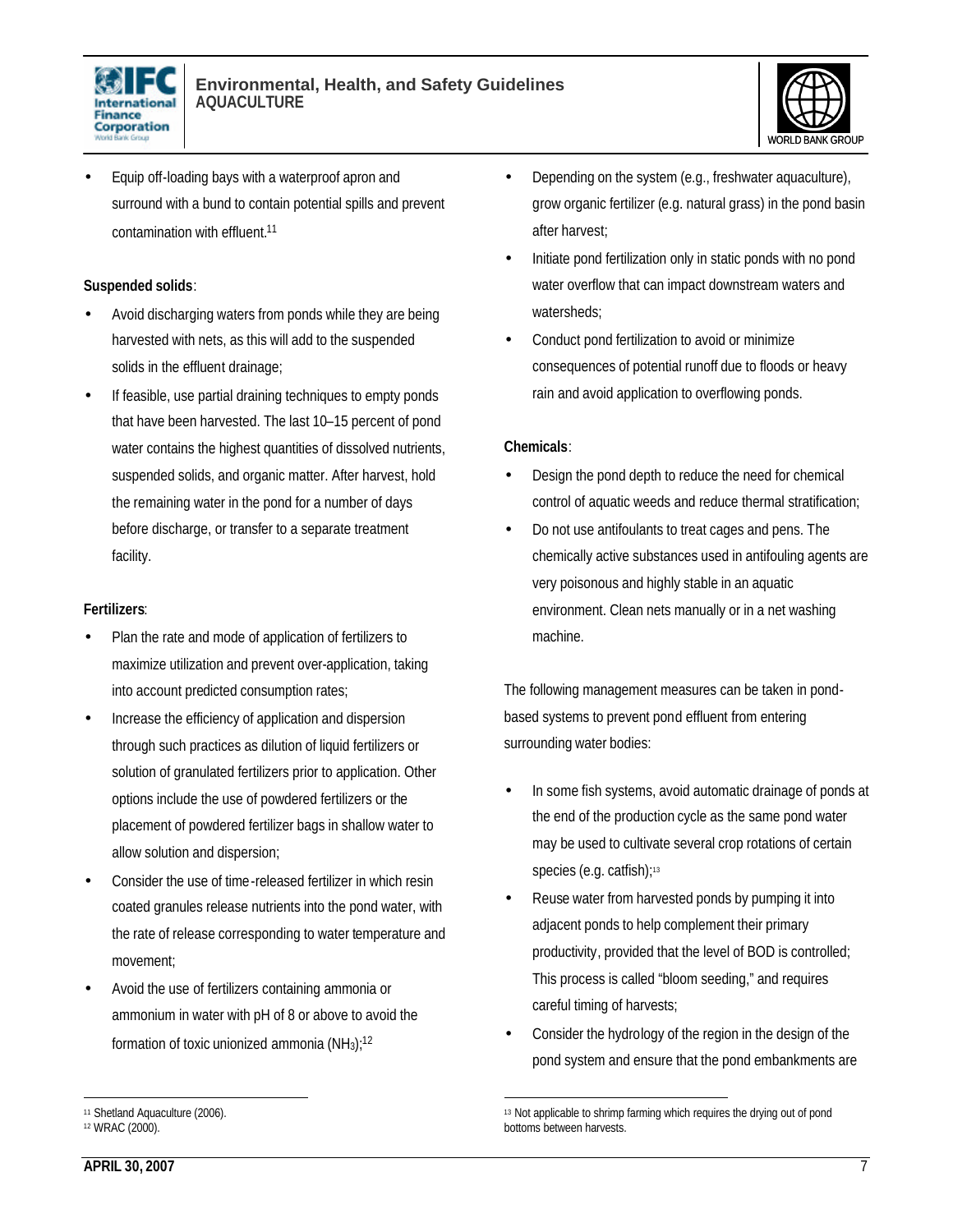



• Equip off-loading bays with a waterproof apron and surround with a bund to contain potential spills and prevent contamination with effluent.<sup>11</sup>

#### **Suspended solids**:

- Avoid discharging waters from ponds while they are being harvested with nets, as this will add to the suspended solids in the effluent drainage;
- If feasible, use partial draining techniques to empty ponds that have been harvested. The last 10–15 percent of pond water contains the highest quantities of dissolved nutrients, suspended solids, and organic matter. After harvest, hold the remaining water in the pond for a number of days before discharge, or transfer to a separate treatment facility.

#### **Fertilizers**:

- Plan the rate and mode of application of fertilizers to maximize utilization and prevent over-application, taking into account predicted consumption rates;
- Increase the efficiency of application and dispersion through such practices as dilution of liquid fertilizers or solution of granulated fertilizers prior to application. Other options include the use of powdered fertilizers or the placement of powdered fertilizer bags in shallow water to allow solution and dispersion;
- Consider the use of time-released fertilizer in which resin coated granules release nutrients into the pond water, with the rate of release corresponding to water temperature and movement;
- Avoid the use of fertilizers containing ammonia or ammonium in water with pH of 8 or above to avoid the formation of toxic unionized ammonia  $(NH<sub>3</sub>)$ ;<sup>12</sup>
- Depending on the system (e.g., freshwater aquaculture), grow organic fertilizer (e.g. natural grass) in the pond basin after harvest;
- Initiate pond fertilization only in static ponds with no pond water overflow that can impact downstream waters and watersheds;
- Conduct pond fertilization to avoid or minimize consequences of potential runoff due to floods or heavy rain and avoid application to overflowing ponds.

#### **Chemicals**:

- Design the pond depth to reduce the need for chemical control of aquatic weeds and reduce thermal stratification;
- Do not use antifoulants to treat cages and pens. The chemically active substances used in antifouling agents are very poisonous and highly stable in an aquatic environment. Clean nets manually or in a net washing machine.

The following management measures can be taken in pondbased systems to prevent pond effluent from entering surrounding water bodies:

- In some fish systems, avoid automatic drainage of ponds at the end of the production cycle as the same pond water may be used to cultivate several crop rotations of certain species (e.g. catfish);<sup>13</sup>
- Reuse water from harvested ponds by pumping it into adjacent ponds to help complement their primary productivity, provided that the level of BOD is controlled; This process is called "bloom seeding," and requires careful timing of harvests;
- Consider the hydrology of the region in the design of the pond system and ensure that the pond embankments are

<sup>1</sup> 13 Not applicable to shrimp farming which requires the drying out of pond bottoms between harvests.

 $\overline{a}$ <sup>11</sup> Shetland Aquaculture (2006).

<sup>12</sup> WRAC (2000).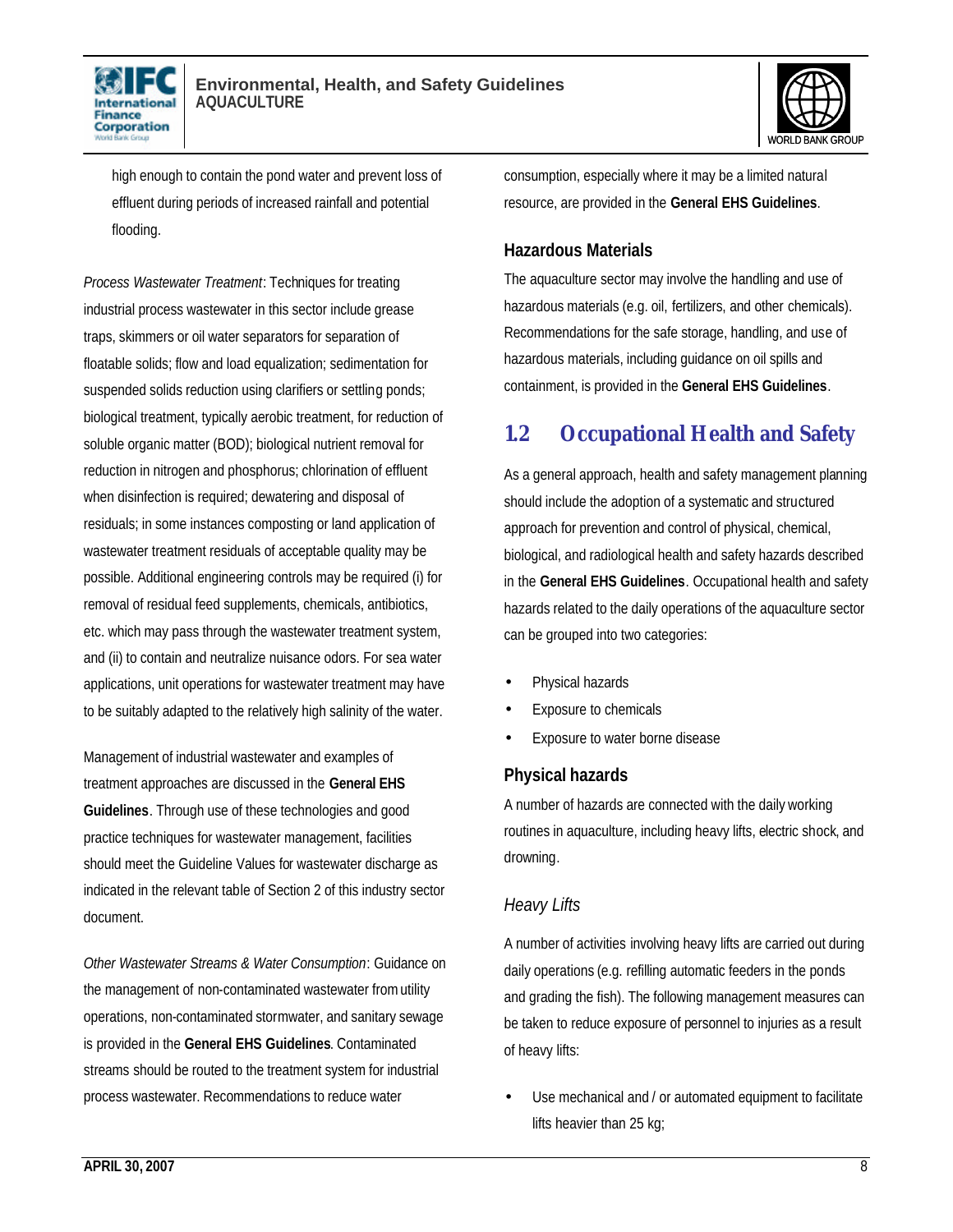



high enough to contain the pond water and prevent loss of effluent during periods of increased rainfall and potential flooding.

*Process Wastewater Treatment*: Techniques for treating industrial process wastewater in this sector include grease traps, skimmers or oil water separators for separation of floatable solids; flow and load equalization; sedimentation for suspended solids reduction using clarifiers or settling ponds; biological treatment, typically aerobic treatment, for reduction of soluble organic matter (BOD); biological nutrient removal for reduction in nitrogen and phosphorus; chlorination of effluent when disinfection is required; dewatering and disposal of residuals; in some instances composting or land application of wastewater treatment residuals of acceptable quality may be possible. Additional engineering controls may be required (i) for removal of residual feed supplements, chemicals, antibiotics, etc. which may pass through the wastewater treatment system, and (ii) to contain and neutralize nuisance odors. For sea water applications, unit operations for wastewater treatment may have to be suitably adapted to the relatively high salinity of the water.

Management of industrial wastewater and examples of treatment approaches are discussed in the **General EHS Guidelines**. Through use of these technologies and good practice techniques for wastewater management, facilities should meet the Guideline Values for wastewater discharge as indicated in the relevant table of Section 2 of this industry sector document.

*Other Wastewater Streams & Water Consumption*: Guidance on the management of non-contaminated wastewater from utility operations, non-contaminated stormwater, and sanitary sewage is provided in the **General EHS Guidelines**. Contaminated streams should be routed to the treatment system for industrial process wastewater. Recommendations to reduce water

consumption, especially where it may be a limited natural resource, are provided in the **General EHS Guidelines**.

#### **Hazardous Materials**

The aquaculture sector may involve the handling and use of hazardous materials (e.g. oil, fertilizers, and other chemicals). Recommendations for the safe storage, handling, and use of hazardous materials, including guidance on oil spills and containment, is provided in the **General EHS Guidelines**.

## **1.2 Occupational Health and Safety**

As a general approach, health and safety management planning should include the adoption of a systematic and structured approach for prevention and control of physical, chemical, biological, and radiological health and safety hazards described in the **General EHS Guidelines**. Occupational health and safety hazards related to the daily operations of the aquaculture sector can be grouped into two categories:

- Physical hazards
- Exposure to chemicals
- Exposure to water borne disease

#### **Physical hazards**

A number of hazards are connected with the daily working routines in aquaculture, including heavy lifts, electric shock, and drowning.

#### *Heavy Lifts*

A number of activities involving heavy lifts are carried out during daily operations (e.g. refilling automatic feeders in the ponds and grading the fish). The following management measures can be taken to reduce exposure of personnel to injuries as a result of heavy lifts:

Use mechanical and / or automated equipment to facilitate lifts heavier than 25 kg;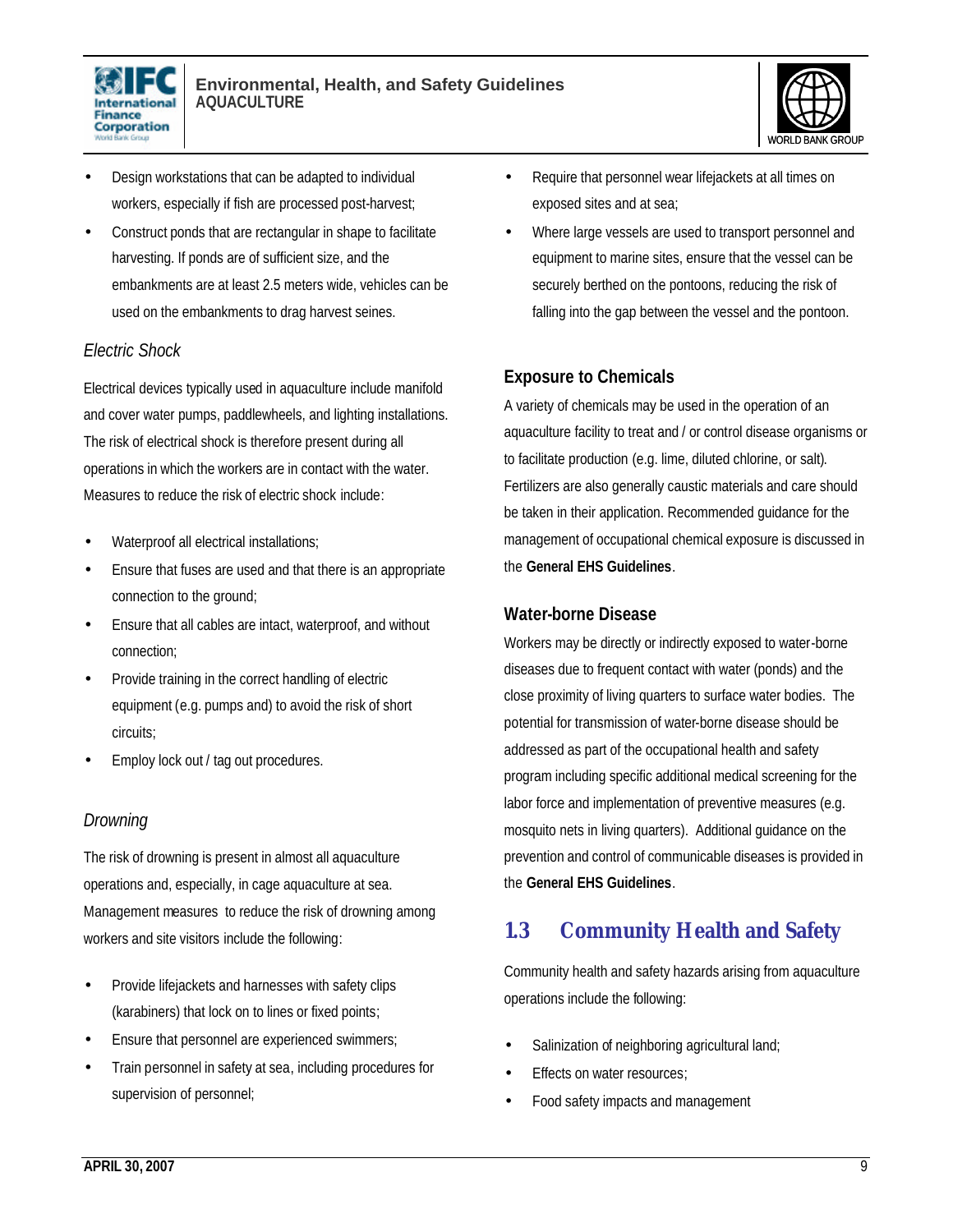



- Design workstations that can be adapted to individual workers, especially if fish are processed post-harvest;
- Construct ponds that are rectangular in shape to facilitate harvesting. If ponds are of sufficient size, and the embankments are at least 2.5 meters wide, vehicles can be used on the embankments to drag harvest seines.

### *Electric Shock*

Electrical devices typically used in aquaculture include manifold and cover water pumps, paddlewheels, and lighting installations. The risk of electrical shock is therefore present during all operations in which the workers are in contact with the water. Measures to reduce the risk of electric shock include:

- Waterproof all electrical installations;
- Ensure that fuses are used and that there is an appropriate connection to the ground;
- Ensure that all cables are intact, waterproof, and without connection;
- Provide training in the correct handling of electric equipment (e.g. pumps and) to avoid the risk of short circuits;
- Employ lock out / tag out procedures.

#### *Drowning*

The risk of drowning is present in almost all aquaculture operations and, especially, in cage aquaculture at sea. Management measures to reduce the risk of drowning among workers and site visitors include the following:

- Provide lifejackets and harnesses with safety clips (karabiners) that lock on to lines or fixed points;
- Ensure that personnel are experienced swimmers;
- Train personnel in safety at sea, including procedures for supervision of personnel;
- Require that personnel wear lifejackets at all times on exposed sites and at sea;
- Where large vessels are used to transport personnel and equipment to marine sites, ensure that the vessel can be securely berthed on the pontoons, reducing the risk of falling into the gap between the vessel and the pontoon.

### **Exposure to Chemicals**

A variety of chemicals may be used in the operation of an aquaculture facility to treat and / or control disease organisms or to facilitate production (e.g. lime, diluted chlorine, or salt). Fertilizers are also generally caustic materials and care should be taken in their application. Recommended guidance for the management of occupational chemical exposure is discussed in the **General EHS Guidelines**.

#### **Water-borne Disease**

Workers may be directly or indirectly exposed to water-borne diseases due to frequent contact with water (ponds) and the close proximity of living quarters to surface water bodies. The potential for transmission of water-borne disease should be addressed as part of the occupational health and safety program including specific additional medical screening for the labor force and implementation of preventive measures (e.g. mosquito nets in living quarters). Additional guidance on the prevention and control of communicable diseases is provided in the **General EHS Guidelines**.

## **1.3 Community Health and Safety**

Community health and safety hazards arising from aquaculture operations include the following:

- Salinization of neighboring agricultural land;
- Effects on water resources;
- Food safety impacts and management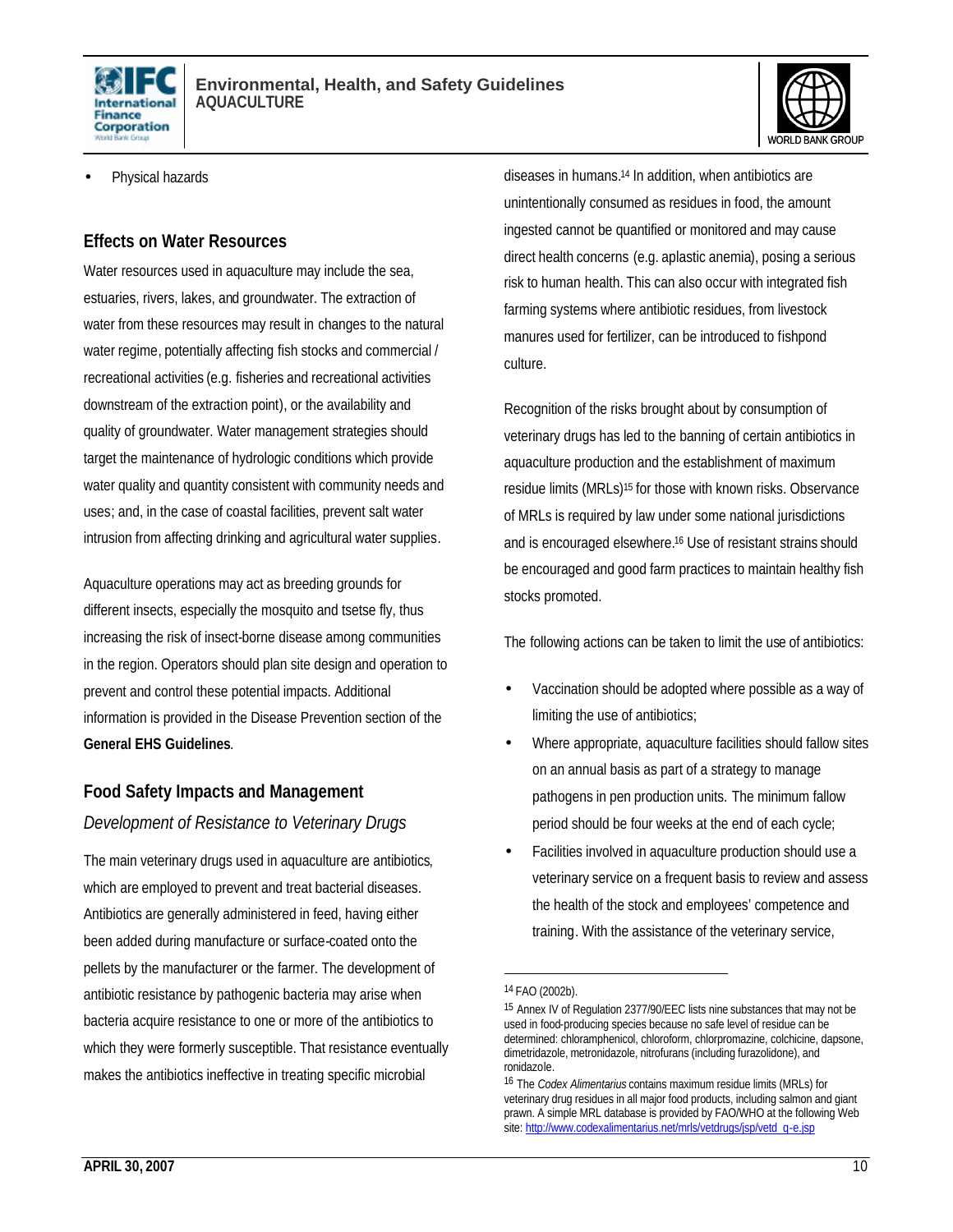



Physical hazards

#### **Effects on Water Resources**

Water resources used in aquaculture may include the sea, estuaries, rivers, lakes, and groundwater. The extraction of water from these resources may result in changes to the natural water regime, potentially affecting fish stocks and commercial / recreational activities (e.g. fisheries and recreational activities downstream of the extraction point), or the availability and quality of groundwater. Water management strategies should target the maintenance of hydrologic conditions which provide water quality and quantity consistent with community needs and uses; and, in the case of coastal facilities, prevent salt water intrusion from affecting drinking and agricultural water supplies.

Aquaculture operations may act as breeding grounds for different insects, especially the mosquito and tsetse fly, thus increasing the risk of insect-borne disease among communities in the region. Operators should plan site design and operation to prevent and control these potential impacts. Additional information is provided in the Disease Prevention section of the **General EHS Guidelines**.

## **Food Safety Impacts and Management**

#### *Development of Resistance to Veterinary Drugs*

The main veterinary drugs used in aquaculture are antibiotics, which are employed to prevent and treat bacterial diseases. Antibiotics are generally administered in feed, having either been added during manufacture or surface-coated onto the pellets by the manufacturer or the farmer. The development of antibiotic resistance by pathogenic bacteria may arise when bacteria acquire resistance to one or more of the antibiotics to which they were formerly susceptible. That resistance eventually makes the antibiotics ineffective in treating specific microbial

diseases in humans.14 In addition, when antibiotics are unintentionally consumed as residues in food, the amount ingested cannot be quantified or monitored and may cause direct health concerns (e.g. aplastic anemia), posing a serious risk to human health. This can also occur with integrated fish farming systems where antibiotic residues, from livestock manures used for fertilizer, can be introduced to fishpond culture.

Recognition of the risks brought about by consumption of veterinary drugs has led to the banning of certain antibiotics in aquaculture production and the establishment of maximum residue limits (MRLs)<sup>15</sup> for those with known risks. Observance of MRLs is required by law under some national jurisdictions and is encouraged elsewhere.<sup>16</sup> Use of resistant strains should be encouraged and good farm practices to maintain healthy fish stocks promoted.

The following actions can be taken to limit the use of antibiotics:

- Vaccination should be adopted where possible as a way of limiting the use of antibiotics;
- Where appropriate, aquaculture facilities should fallow sites on an annual basis as part of a strategy to manage pathogens in pen production units. The minimum fallow period should be four weeks at the end of each cycle;
- Facilities involved in aquaculture production should use a veterinary service on a frequent basis to review and assess the health of the stock and employees' competence and training. With the assistance of the veterinary service,

<sup>14</sup> FAO (2002b).

<sup>15</sup> Annex IV of Regulation 2377/90/EEC lists nine substances that may not be used in food-producing species because no safe level of residue can be determined: chloramphenicol, chloroform, chlorpromazine, colchicine, dapsone, dimetridazole, metronidazole, nitrofurans (including furazolidone), and ronidazole.

<sup>16</sup> The *Codex Alimentarius* contains maximum residue limits (MRLs) for veterinary drug residues in all major food products, including salmon and giant prawn. A simple MRL database is provided by FAO/WHO at the following Web site: http://www.codexalimentarius.net/mrls/vetdrugs/jsp/vetd\_q-e.jsp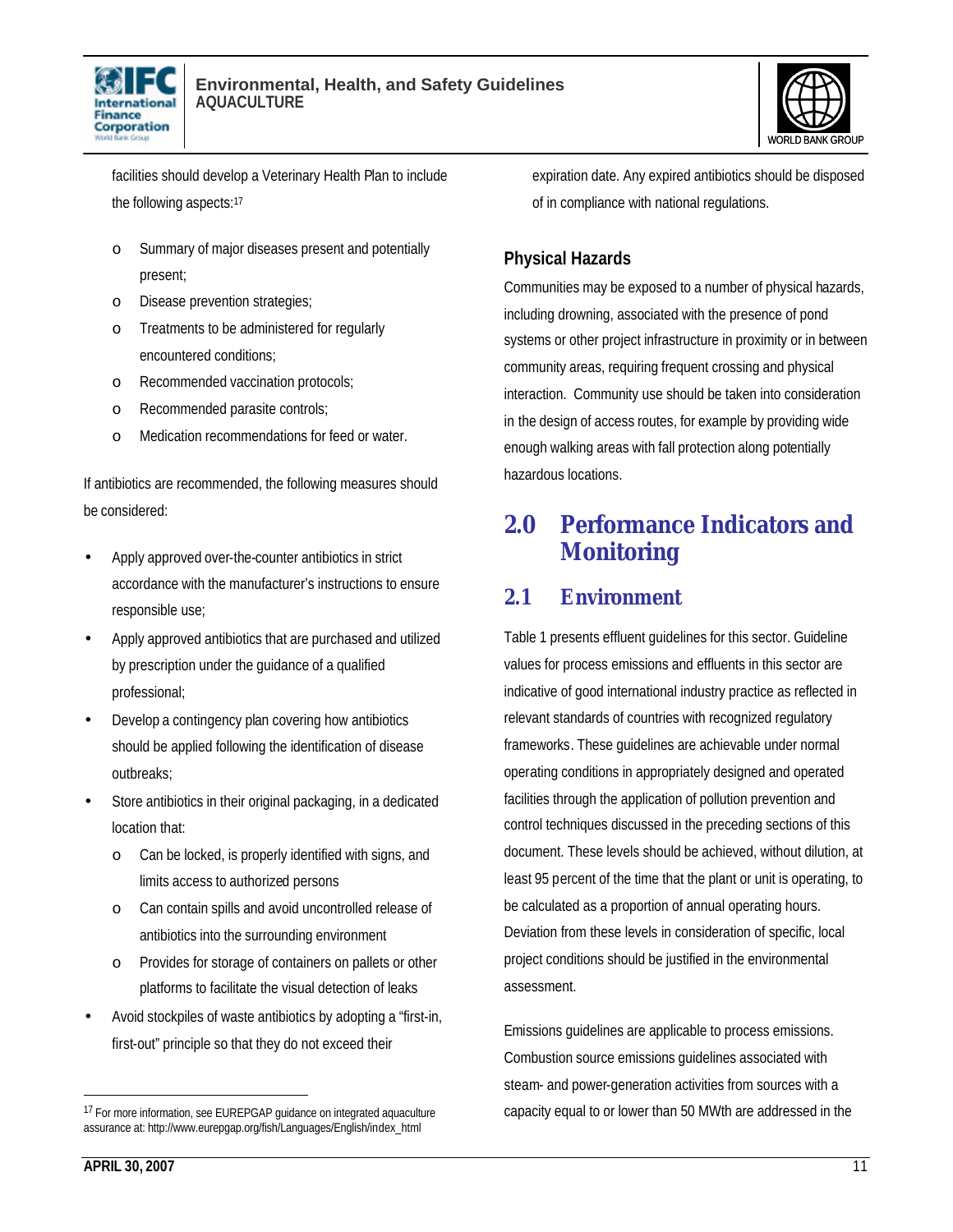



facilities should develop a Veterinary Health Plan to include the following aspects:<sup>17</sup>

- o Summary of major diseases present and potentially present;
- o Disease prevention strategies;
- o Treatments to be administered for regularly encountered conditions;
- o Recommended vaccination protocols;
- o Recommended parasite controls;
- o Medication recommendations for feed or water.

If antibiotics are recommended, the following measures should be considered:

- Apply approved over-the-counter antibiotics in strict accordance with the manufacturer's instructions to ensure responsible use;
- Apply approved antibiotics that are purchased and utilized by prescription under the guidance of a qualified professional;
- Develop a contingency plan covering how antibiotics should be applied following the identification of disease outbreaks;
- Store antibiotics in their original packaging, in a dedicated location that:
	- o Can be locked, is properly identified with signs, and limits access to authorized persons
	- o Can contain spills and avoid uncontrolled release of antibiotics into the surrounding environment
	- o Provides for storage of containers on pallets or other platforms to facilitate the visual detection of leaks
- Avoid stockpiles of waste antibiotics by adopting a "first-in, first-out" principle so that they do not exceed their

expiration date. Any expired antibiotics should be disposed of in compliance with national regulations.

## **Physical Hazards**

Communities may be exposed to a number of physical hazards, including drowning, associated with the presence of pond systems or other project infrastructure in proximity or in between community areas, requiring frequent crossing and physical interaction. Community use should be taken into consideration in the design of access routes, for example by providing wide enough walking areas with fall protection along potentially hazardous locations.

## **2.0 Performance Indicators and Monitoring**

## **2.1 Environment**

Table 1 presents effluent guidelines for this sector. Guideline values for process emissions and effluents in this sector are indicative of good international industry practice as reflected in relevant standards of countries with recognized regulatory frameworks. These guidelines are achievable under normal operating conditions in appropriately designed and operated facilities through the application of pollution prevention and control techniques discussed in the preceding sections of this document. These levels should be achieved, without dilution, at least 95 percent of the time that the plant or unit is operating, to be calculated as a proportion of annual operating hours. Deviation from these levels in consideration of specific, local project conditions should be justified in the environmental assessment.

Emissions guidelines are applicable to process emissions. Combustion source emissions guidelines associated with steam- and power-generation activities from sources with a capacity equal to or lower than 50 MWth are addressed in the

<sup>17</sup> For more information, see EUREPGAP guidance on integrated aquaculture assurance at: http://www.eurepgap.org/fish/Languages/English/index\_html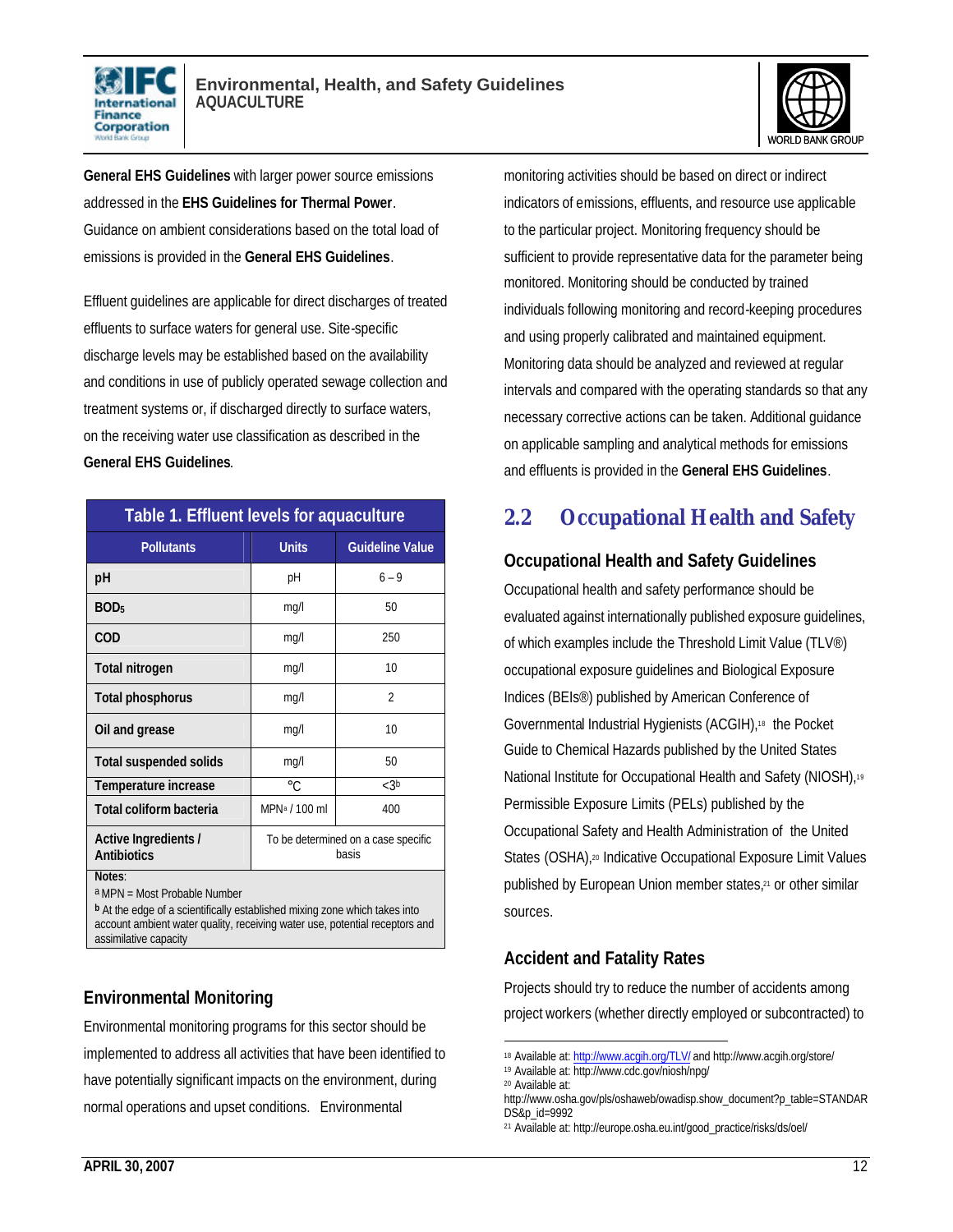



**General EHS Guidelines** with larger power source emissions addressed in the **EHS Guidelines for Thermal Power**. Guidance on ambient considerations based on the total load of emissions is provided in the **General EHS Guidelines**.

Effluent guidelines are applicable for direct discharges of treated effluents to surface waters for general use. Site-specific discharge levels may be established based on the availability and conditions in use of publicly operated sewage collection and treatment systems or, if discharged directly to surface waters, on the receiving water use classification as described in the **General EHS Guidelines**.

| Table 1. Effluent levels for aquaculture   |                                              |                        |  |
|--------------------------------------------|----------------------------------------------|------------------------|--|
| <b>Pollutants</b>                          | <b>Units</b>                                 | <b>Guideline Value</b> |  |
| pH                                         | рH                                           | $6 - 9$                |  |
| BOD <sub>5</sub>                           | mq/l                                         | 50                     |  |
| COD                                        | mq/l                                         | 250                    |  |
| <b>Total nitrogen</b>                      | mq/l                                         | 10                     |  |
| Total phosphorus                           | mq/l                                         | $\overline{2}$         |  |
| Oil and grease                             | mg/l                                         | 10                     |  |
| <b>Total suspended solids</b>              | mq/l                                         | 50                     |  |
| Temperature increase                       | $^{\circ}C$                                  | < 3b                   |  |
| Total coliform bacteria                    | MPN <sup>a</sup> / 100 ml                    | 400                    |  |
| Active Ingredients /<br><b>Antibiotics</b> | To be determined on a case specific<br>hasis |                        |  |
| Notes:                                     |                                              |                        |  |

a MPN = Most Probable Number

**b** At the edge of a scientifically established mixing zone which takes into account ambient water quality, receiving water use, potential receptors and assimilative capacity

## **Environmental Monitoring**

Environmental monitoring programs for this sector should be implemented to address all activities that have been identified to have potentially significant impacts on the environment, during normal operations and upset conditions. Environmental

monitoring activities should be based on direct or indirect indicators of emissions, effluents, and resource use applicable to the particular project. Monitoring frequency should be sufficient to provide representative data for the parameter being monitored. Monitoring should be conducted by trained individuals following monitoring and record-keeping procedures and using properly calibrated and maintained equipment. Monitoring data should be analyzed and reviewed at regular intervals and compared with the operating standards so that any necessary corrective actions can be taken. Additional guidance on applicable sampling and analytical methods for emissions and effluents is provided in the **General EHS Guidelines**.

## **2.2 Occupational Health and Safety**

## **Occupational Health and Safety Guidelines**

Occupational health and safety performance should be evaluated against internationally published exposure guidelines, of which examples include the Threshold Limit Value (TLV®) occupational exposure guidelines and Biological Exposure Indices (BEIs®) published by American Conference of Governmental Industrial Hygienists (ACGIH),18 the Pocket Guide to Chemical Hazards published by the United States National Institute for Occupational Health and Safety (NIOSH),<sup>19</sup> Permissible Exposure Limits (PELs) published by the Occupational Safety and Health Administration of the United States (OSHA),<sup>20</sup> Indicative Occupational Exposure Limit Values published by European Union member states,<sup>21</sup> or other similar sources.

## **Accident and Fatality Rates**

Projects should try to reduce the number of accidents among project workers (whether directly employed or subcontracted) to

 $\overline{a}$ <sup>18</sup> Available at: http://www.acgih.org/TLV/ and http://www.acgih.org/store/

<sup>19</sup> Available at: http://www.cdc.gov/niosh/npg/

<sup>20</sup> Available at:

http://www.osha.gov/pls/oshaweb/owadisp.show\_document?p\_table=STANDAR DS&p\_id=9992

<sup>21</sup> Available at: http://europe.osha.eu.int/good\_practice/risks/ds/oel/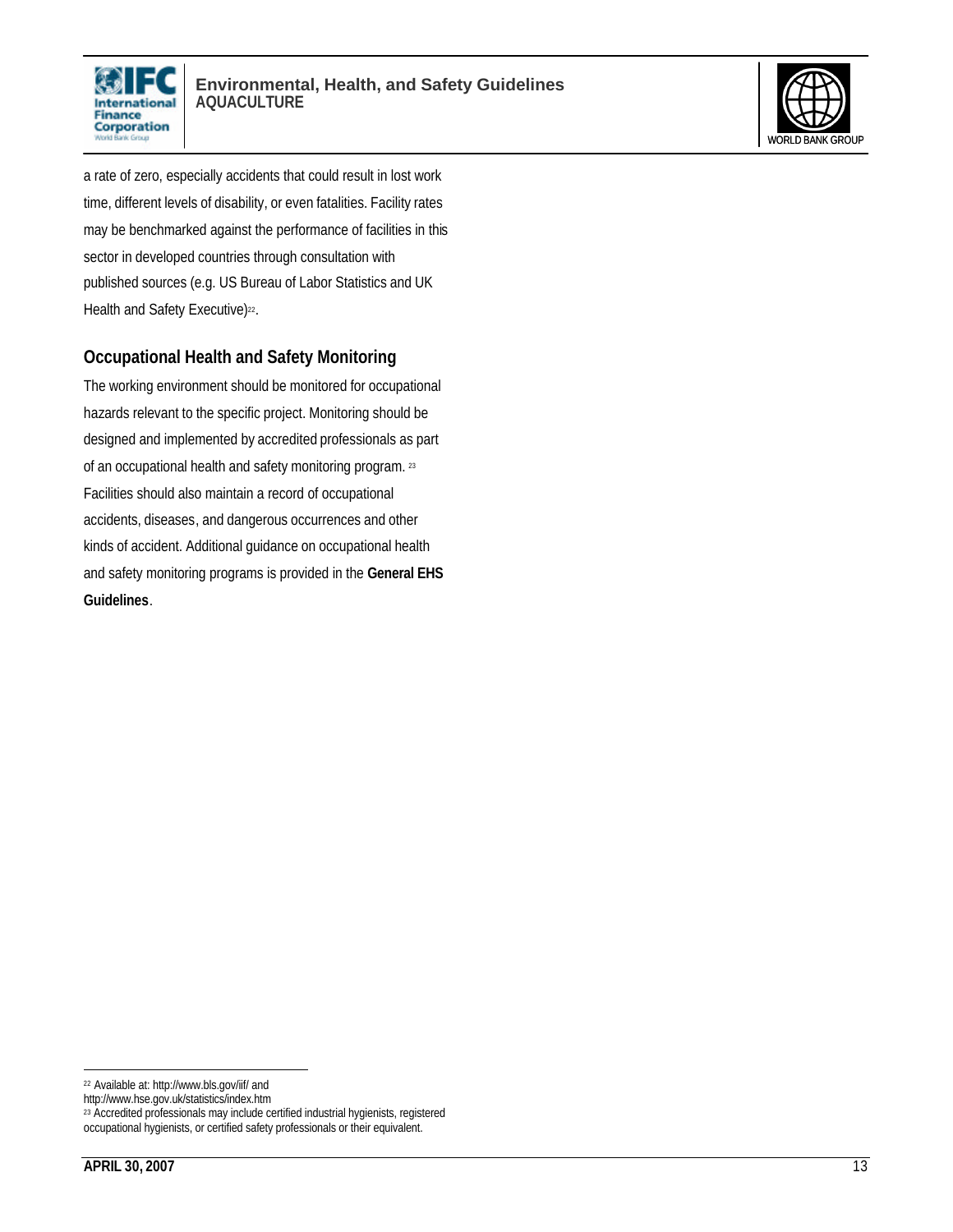



a rate of zero, especially accidents that could result in lost work time, different levels of disability, or even fatalities. Facility rates may be benchmarked against the performance of facilities in this sector in developed countries through consultation with published sources (e.g. US Bureau of Labor Statistics and UK Health and Safety Executive)<sup>22</sup>.

### **Occupational Health and Safety Monitoring**

The working environment should be monitored for occupational hazards relevant to the specific project. Monitoring should be designed and implemented by accredited professionals as part of an occupational health and safety monitoring program. <sup>23</sup> Facilities should also maintain a record of occupational accidents, diseases, and dangerous occurrences and other kinds of accident. Additional guidance on occupational health and safety monitoring programs is provided in the **General EHS Guidelines**.

l

<sup>22</sup> Available at: http://www.bls.gov/iif/ and

http://www.hse.gov.uk/statistics/index.htm

<sup>&</sup>lt;sup>23</sup> Accredited professionals may include certified industrial hygienists, registered

occupational hygienists, or certified safety professionals or their equivalent.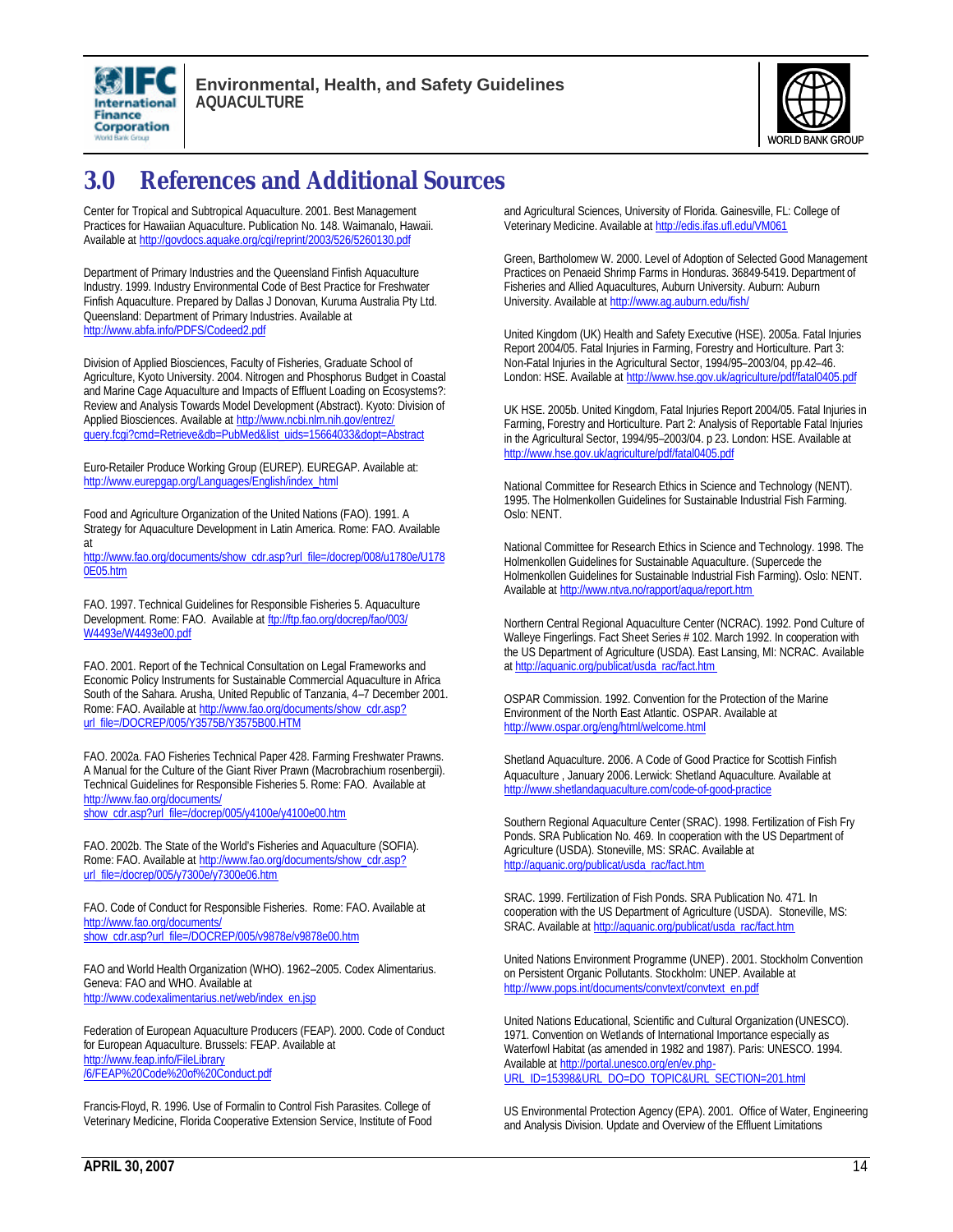



## **3.0 References and Additional Sources**

Center for Tropical and Subtropical Aquaculture. 2001. Best Management Practices for Hawaiian Aquaculture. Publication No. 148. Waimanalo, Hawaii. Available at http://govdocs.aquake.org/cgi/reprint/2003/526/5260130.pdf

Department of Primary Industries and the Queensland Finfish Aquaculture Industry. 1999. Industry Environmental Code of Best Practice for Freshwater Finfish Aquaculture. Prepared by Dallas J Donovan, Kuruma Australia Pty Ltd. Queensland: Department of Primary Industries. Available at http://www.abfa.info/PDFS/Codeed2.pdf

Division of Applied Biosciences, Faculty of Fisheries, Graduate School of Agriculture, Kyoto University. 2004. Nitrogen and Phosphorus Budget in Coastal and Marine Cage Aquaculture and Impacts of Effluent Loading on Ecosystems?: Review and Analysis Towards Model Development (Abstract). Kyoto: Division of Applied Biosciences. Available at http://www.ncbi.nlm.nih.gov/entrez/ query.fcgi?cmd=Retrieve&db=PubMed&list\_uids=15664033&dopt=Abstract

Euro-Retailer Produce Working Group (EUREP). EUREGAP. Available at: http://www.eurepgap.org/Languages/English/index\_html

Food and Agriculture Organization of the United Nations (FAO). 1991. A Strategy for Aquaculture Development in Latin America. Rome: FAO. Available at

http://www.fao.org/documents/show\_cdr.asp?url\_file=/docrep/008/u1780e/U178 0E05.htm

FAO. 1997. Technical Guidelines for Responsible Fisheries 5. Aquaculture Development. Rome: FAO. Available at ftp://ftp.fao.org/docrep/fao/003/ W4493e/W4493e00.pdf

FAO. 2001. Report of the Technical Consultation on Legal Frameworks and Economic Policy Instruments for Sustainable Commercial Aquaculture in Africa South of the Sahara. Arusha, United Republic of Tanzania, 4–7 December 2001. Rome: FAO. Available at http://www.fao.org/documents/show\_cdr.asp? url\_file=/DOCREP/005/Y3575B/Y3575B00.HTM

FAO. 2002a. FAO Fisheries Technical Paper 428. Farming Freshwater Prawns. A Manual for the Culture of the Giant River Prawn (Macrobrachium rosenbergii). Technical Guidelines for Responsible Fisheries 5. Rome: FAO. Available at http://www.fao.org/documents/ show\_cdr.asp?url\_file=/docrep/005/y4100e/y4100e00.htm

FAO. 2002b. The State of the World's Fisheries and Aquaculture (SOFIA). Rome: FAO. Available at http://www.fao.org/documents/show\_cdr.asp? url\_file=/docrep/005/y7300e/y7300e06.htm

FAO. Code of Conduct for Responsible Fisheries. Rome: FAO. Available at http://www.fao.org/documents/ show\_cdr.asp?url\_file=/DOCREP/005/v9878e/v9878e00.htm

FAO and World Health Organization (WHO). 1962–2005. Codex Alimentarius. Geneva: FAO and WHO. Available at http://www.codexalimentarius.net/web/index\_en.jsp

Federation of European Aquaculture Producers (FEAP). 2000. Code of Conduct for European Aquaculture. Brussels: FEAP. Available at http://www.feap.info/FileLibrary /6/FEAP%20Code%20of%20Conduct.pdf

Francis-Floyd, R. 1996. Use of Formalin to Control Fish Parasites. College of Veterinary Medicine, Florida Cooperative Extension Service, Institute of Food and Agricultural Sciences, University of Florida. Gainesville, FL: College of Veterinary Medicine. Available at http://edis.ifas.ufl.edu/VM061

Green, Bartholomew W. 2000. Level of Adoption of Selected Good Management Practices on Penaeid Shrimp Farms in Honduras. 36849-5419. Department of Fisheries and Allied Aquacultures, Auburn University. Auburn: Auburn University. Available at http://www.ag.auburn.edu/fish/

United Kingdom (UK) Health and Safety Executive (HSE). 2005a. Fatal Injuries Report 2004/05. Fatal Injuries in Farming, Forestry and Horticulture. Part 3: Non-Fatal Injuries in the Agricultural Sector, 1994/95–2003/04, pp.42–46. London: HSE. Available at http://www.hse.gov.uk/agriculture/pdf/fatal0405.pdf

UK HSE. 2005b. United Kingdom, Fatal Injuries Report 2004/05. Fatal Injuries in Farming, Forestry and Horticulture. Part 2: Analysis of Reportable Fatal Injuries in the Agricultural Sector, 1994/95–2003/04. p 23. London: HSE. Available at http://www.hse.gov.uk/agriculture/pdf/fatal0405.pdf

National Committee for Research Ethics in Science and Technology (NENT). 1995. The Holmenkollen Guidelines for Sustainable Industrial Fish Farming. Oslo: NENT.

National Committee for Research Ethics in Science and Technology. 1998. The Holmenkollen Guidelines for Sustainable Aquaculture. (Supercede the Holmenkollen Guidelines for Sustainable Industrial Fish Farming). Oslo: NENT. Available at http://www.ntva.no/rapport/aqua/report.htm

Northern Central Regional Aquaculture Center (NCRAC). 1992. Pond Culture of Walleye Fingerlings. Fact Sheet Series # 102. March 1992. In cooperation with the US Department of Agriculture (USDA). East Lansing, MI: NCRAC. Available at http://aquanic.org/publicat/usda\_rac/fact.htm

OSPAR Commission. 1992. Convention for the Protection of the Marine Environment of the North East Atlantic. OSPAR. Available at http://www.ospar.org/eng/html/welcome.html

Shetland Aquaculture. 2006. A Code of Good Practice for Scottish Finfish Aquaculture , January 2006. Lerwick: Shetland Aquaculture. Available at http://www.shetlandaquaculture.com/code-of-good-practice

Southern Regional Aquaculture Center (SRAC). 1998. Fertilization of Fish Fry Ponds. SRA Publication No. 469. In cooperation with the US Department of Agriculture (USDA). Stoneville, MS: SRAC. Available at http://aquanic.org/publicat/usda\_rac/fact.htm

SRAC. 1999. Fertilization of Fish Ponds. SRA Publication No. 471. In cooperation with the US Department of Agriculture (USDA). Stoneville, MS: SRAC. Available at http://aquanic.org/publicat/usda\_rac/fact.htm

United Nations Environment Programme (UNEP). 2001. Stockholm Convention on Persistent Organic Pollutants. Stockholm: UNEP. Available at http://www.pops.int/documents/convtext/convtext\_en.pdf

United Nations Educational, Scientific and Cultural Organization (UNESCO). 1971. Convention on Wetlands of International Importance especially as Waterfowl Habitat (as amended in 1982 and 1987). Paris: UNESCO. 1994. Available at http://portal.unesco.org/en/ev.php-URL\_ID=15398&URL\_DO=DO\_TOPIC&URL\_SECTION=201.html

US Environmental Protection Agency (EPA). 2001. Office of Water, Engineering and Analysis Division. Update and Overview of the Effluent Limitations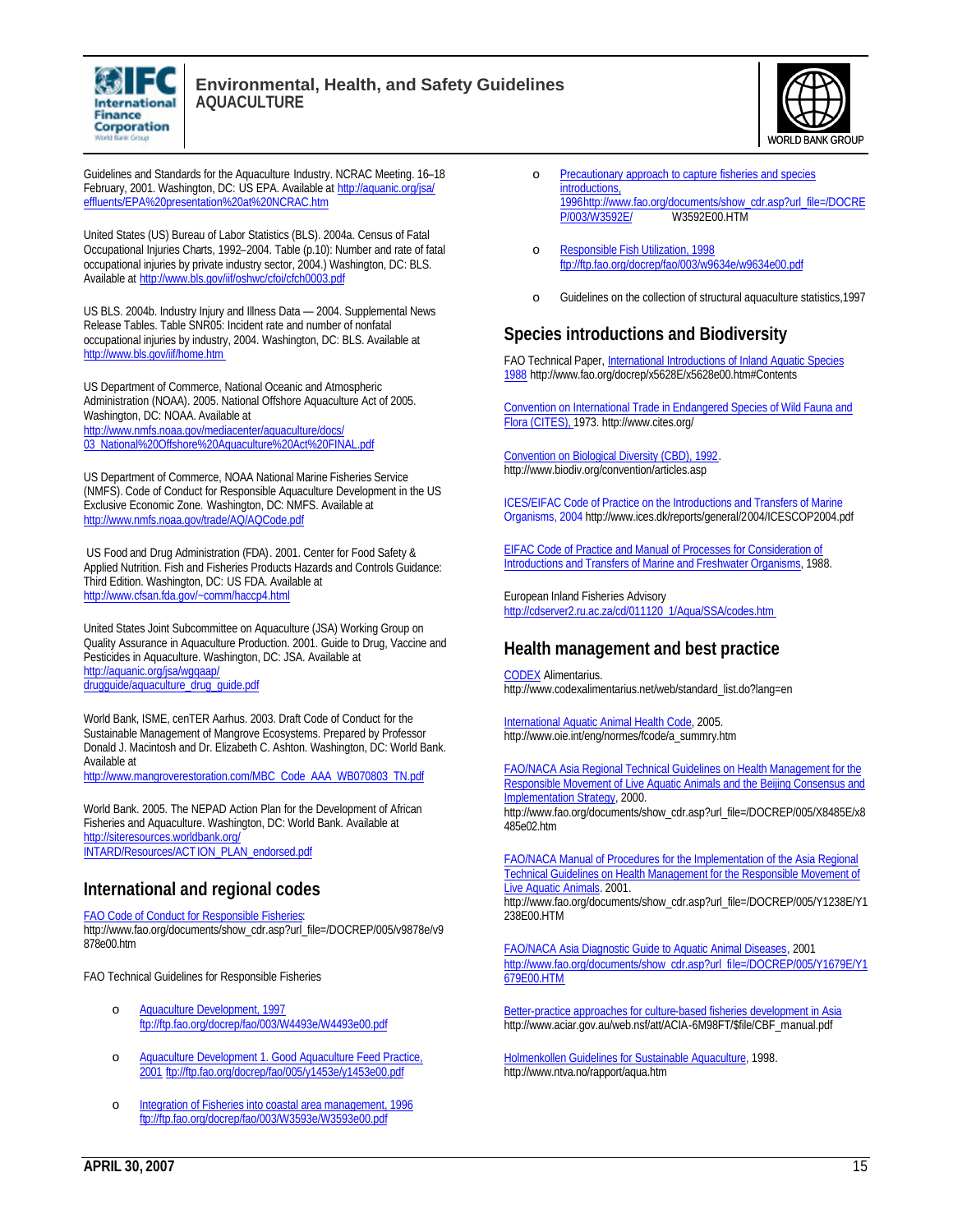



Guidelines and Standards for the Aquaculture Industry. NCRAC Meeting. 16–18 February, 2001. Washington, DC: US EPA. Available at http://aquanic.org/jsa/ effluents/EPA%20presentation%20at%20NCRAC.htm

United States (US) Bureau of Labor Statistics (BLS). 2004a. Census of Fatal Occupational Injuries Charts, 1992–2004. Table (p.10): Number and rate of fatal occupational injuries by private industry sector, 2004.) Washington, DC: BLS. Available at http://www.bls.gov/iif/oshwc/cfoi/cfch0003.pdf

US BLS. 2004b. Industry Injury and Illness Data — 2004. Supplemental News Release Tables. Table SNR05: Incident rate and number of nonfatal occupational injuries by industry, 2004. Washington, DC: BLS. Available at http://www.bls.gov/iif/home.htm

US Department of Commerce, National Oceanic and Atmospheric Administration (NOAA). 2005. National Offshore Aquaculture Act of 2005. Washington, DC: NOAA. Available at http://www.nmfs.noaa.gov/mediacenter/aquaculture/docs/ 03\_National%20Offshore%20Aquaculture%20Act%20FINAL.pdf

US Department of Commerce, NOAA National Marine Fisheries Service (NMFS). Code of Conduct for Responsible Aquaculture Development in the US Exclusive Economic Zone. Washington, DC: NMFS. Available at http://www.nmfs.noaa.gov/trade/AQ/AQCode.pdf

US Food and Drug Administration (FDA). 2001. Center for Food Safety & Applied Nutrition. Fish and Fisheries Products Hazards and Controls Guidance: Third Edition. Washington, DC: US FDA. Available at http://www.cfsan.fda.gov/~comm/haccp4.html

United States Joint Subcommittee on Aquaculture (JSA) Working Group on Quality Assurance in Aquaculture Production. 2001. Guide to Drug, Vaccine and Pesticides in Aquaculture. Washington, DC: JSA. Available at http://aquanic.org/jsa/wgqaap/ drugguide/aquaculture\_drug\_quide.pdf

World Bank, ISME, cenTER Aarhus. 2003. Draft Code of Conduct for the Sustainable Management of Mangrove Ecosystems. Prepared by Professor Donald J. Macintosh and Dr. Elizabeth C. Ashton. Washington, DC: World Bank. Available at

http://www.mangroverestoration.com/MBC\_Code\_AAA\_WB070803\_TN.pdf

World Bank. 2005. The NEPAD Action Plan for the Development of African Fisheries and Aquaculture. Washington, DC: World Bank. Available at http://siteresources.worldbank.org/ INTARD/Resources/ACTION\_PLAN\_endorsed.pdf

#### **International and regional codes**

FAO Code of Conduct for Responsible Fisheries: http://www.fao.org/documents/show\_cdr.asp?url\_file=/DOCREP/005/v9878e/v9 878e00.htm

FAO Technical Guidelines for Responsible Fisheries

- o Aquaculture Development, 1997 ftp://ftp.fao.org/docrep/fao/003/W4493e/W4493e00.pdf
- o Aquaculture Development 1. Good Aquaculture Feed Practice, 2001 ftp://ftp.fao.org/docrep/fao/005/y1453e/y1453e00.pdf
- o Integration of Fisheries into coastal area management, 1996 ftp://ftp.fao.org/docrep/fao/003/W3593e/W3593e00.pdf
- o Precautionary approach to capture fisheries and species introductions, 1996http://www.fao.org/documents/show\_cdr.asp?url\_file=/DOCRE W3592E00.HTM
- o Responsible Fish Utilization, 1998 ftp://ftp.fao.org/docrep/fao/003/w9634e/w9634e00.pdf
- o Guidelines on the collection of structural aquaculture statistics,1997

#### **Species introductions and Biodiversity**

FAO Technical Paper, International Introductions of Inland Aquatic Species 1988 http://www.fao.org/docrep/x5628E/x5628e00.htm#Contents

Convention on International Trade in Endangered Species of Wild Fauna and Flora (CITES), 1973. http://www.cites.org/

Convention on Biological Diversity (CBD), 1992. http://www.biodiv.org/convention/articles.asp

ICES/EIFAC Code of Practice on the Introductions and Transfers of Marine Organisms, 2004 http://www.ices.dk/reports/general/2004/ICESCOP2004.pdf

EIFAC Code of Practice and Manual of Processes for Consideration of Introductions and Transfers of Marine and Freshwater Organisms, 1988.

European Inland Fisheries Advisory http://cdserver2.ru.ac.za/cd/011120\_1/Aqua/SSA/codes.htm

#### **Health management and best practice**

CODEX Alimentarius. http://www.codexalimentarius.net/web/standard\_list.do?lang=en

International Aquatic Animal Health Code, 2005. http://www.oie.int/eng/normes/fcode/a\_summry.htm

FAO/NACA Asia Regional Technical Guidelines on Health Management for the Responsible Movement of Live Aquatic Animals and the Beijing Consensus and Implementation Strategy, 2000.

http://www.fao.org/documents/show\_cdr.asp?url\_file=/DOCREP/005/X8485E/x8 485e02.htm

FAO/NACA Manual of Procedures for the Implementation of the Asia Regional Technical Guidelines on Health Management for the Responsible Movement of Live Aquatic Animals. 2001. http://www.fao.org/documents/show\_cdr.asp?url\_file=/DOCREP/005/Y1238E/Y1

238E00.HTM

FAO/NACA Asia Diagnostic Guide to Aquatic Animal Diseases, 2001 http://www.fao.org/documents/show\_cdr.asp?url\_file=/DOCREP/005/Y1679E/Y1 679E00.HTM

Better-practice approaches for culture-based fisheries development in Asia http://www.aciar.gov.au/web.nsf/att/ACIA-6M98FT/\$file/CBF\_manual.pdf

Holmenkollen Guidelines for Sustainable Aquaculture, 1998. http://www.ntva.no/rapport/aqua.htm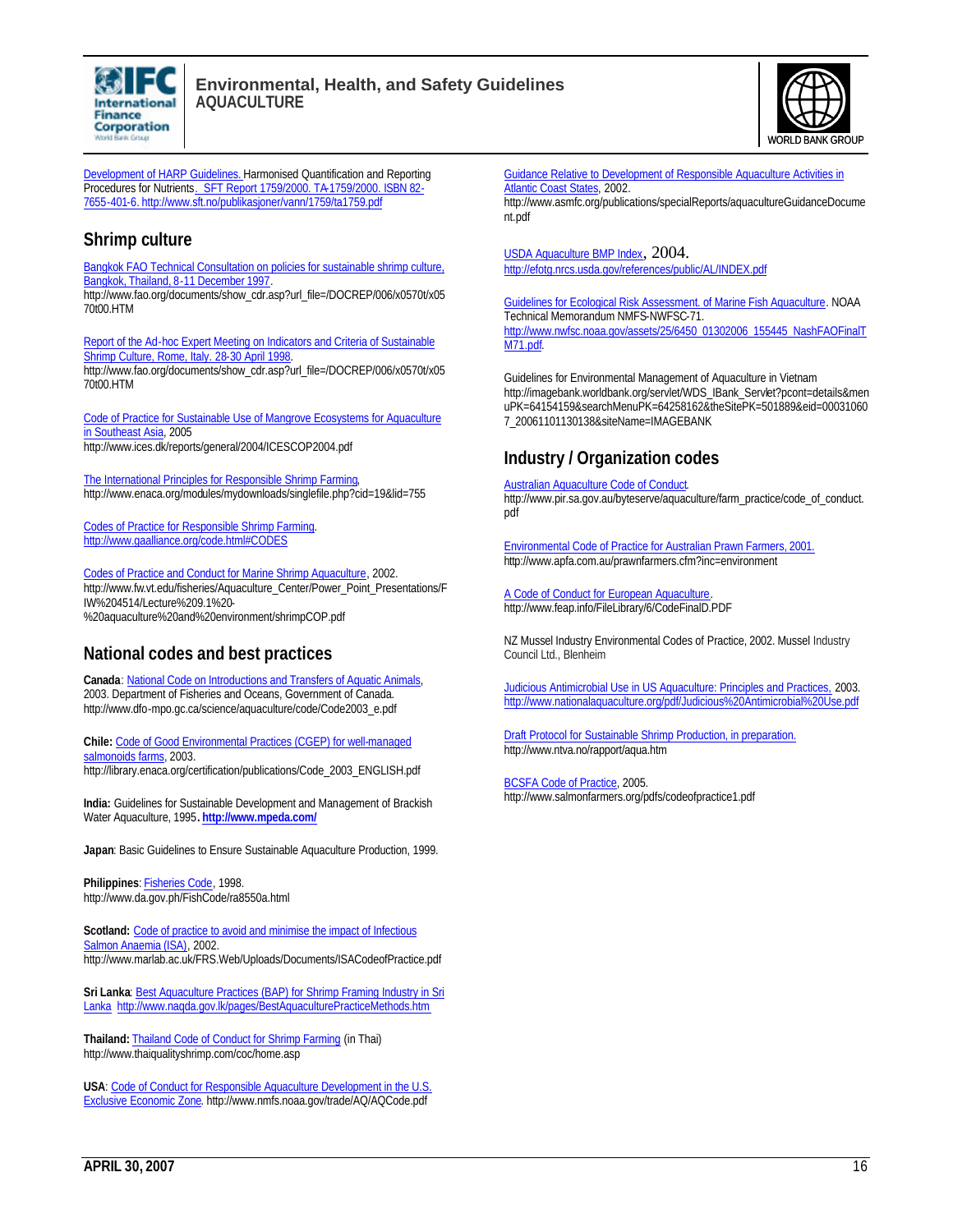



Development of HARP Guidelines. Harmonised Quantification and Reporting Procedures for Nutrients. SFT Report 1759/2000. TA-1759/2000. ISBN 82- 7655-401-6. http://www.sft.no/publikasjoner/vann/1759/ta1759.pdf

#### **Shrimp culture**

Bangkok FAO Technical Consultation on policies for sustainable shrimp culture, Bangkok, Thailand, 8-11 December 1997.

http://www.fao.org/documents/show\_cdr.asp?url\_file=/DOCREP/006/x0570t/x05 70t00.HTM

Report of the Ad-hoc Expert Meeting on Indicators and Criteria of Sustainable Shrimp Culture, Rome, Italy. 28-30 April 1998. http://www.fao.org/documents/show\_cdr.asp?url\_file=/DOCREP/006/x0570t/x05 70t00.HTM

Code of Practice for Sustainable Use of Mangrove Ecosystems for Aquaculture in Southeast Asia, 2005 http://www.ices.dk/reports/general/2004/ICESCOP2004.pdf

The International Principles for Responsible Shrimp Farming, http://www.enaca.org/modules/mydownloads/singlefile.php?cid=19&lid=755

Codes of Practice for Responsible Shrimp Farming. http://www.gaalliance.org/code.html#CODES

Codes of Practice and Conduct for Marine Shrimp Aquaculture, 2002. http://www.fw.vt.edu/fisheries/Aquaculture\_Center/Power\_Point\_Presentations/F IW%204514/Lecture%209.1%20- %20aquaculture%20and%20environment/shrimpCOP.pdf

#### **National codes and best practices**

**Canada**: National Code on Introductions and Transfers of Aquatic Animals, 2003. Department of Fisheries and Oceans, Government of Canada. http://www.dfo-mpo.gc.ca/science/aquaculture/code/Code2003\_e.pdf

**Chile:** Code of Good Environmental Practices (CGEP) for well-managed salmonoids farms, 2003. http://library.enaca.org/certification/publications/Code\_2003\_ENGLISH.pdf

**India:** Guidelines for Sustainable Development and Management of Brackish Water Aquaculture, 1995**. http://www.mpeda.com/**

**Japan**: Basic Guidelines to Ensure Sustainable Aquaculture Production, 1999.

**Philippines**: Fisheries Code, 1998. http://www.da.gov.ph/FishCode/ra8550a.html

Scotland: Code of practice to avoid and minimise the impact of Infectious Salmon Anaemia (ISA), 2002. http://www.marlab.ac.uk/FRS.Web/Uploads/Documents/ISACodeofPractice.pdf

**Sri Lanka**: **Best Aquaculture Practices (BAP) for Shrimp Framing Industry in Sri** Lanka http://www.naqda.gov.lk/pages/BestAquaculturePracticeMethods.htm

**Thailand:** Thailand Code of Conduct for Shrimp Farming (in Thai) http://www.thaiqualityshrimp.com/coc/home.asp

USA: Code of Conduct for Responsible Aquaculture Development in the U.S. Exclusive Economic Zone. http://www.nmfs.noaa.gov/trade/AQ/AQCode.pdf

Guidance Relative to Development of Responsible Aquaculture Activities in Atlantic Coast States, 2002. http://www.asmfc.org/publications/specialReports/aquacultureGuidanceDocume nt.pdf

USDA Aquaculture BMP Index, 2004. http://efotg.nrcs.usda.gov/references/public/AL/INDEX.pdf

Guidelines for Ecological Risk Assessment. of Marine Fish Aquaculture. NOAA Technical Memorandum NMFS-NWFSC-71. http://www.nwfsc.noaa.gov/assets/25/6450\_01302006\_155445\_NashFAOFinalT M71.pdf.

Guidelines for Environmental Management of Aquaculture in Vietnam http://imagebank.worldbank.org/servlet/WDS\_IBank\_Servlet?pcont=details&men uPK=64154159&searchMenuPK=64258162&theSitePK=501889&eid=00031060 7\_20061101130138&siteName=IMAGEBANK

#### **Industry / Organization codes**

#### Australian Aquaculture Code of Conduct.

http://www.pir.sa.gov.au/byteserve/aquaculture/farm\_practice/code\_of\_conduct. pdf

Environmental Code of Practice for Australian Prawn Farmers, 2001. http://www.apfa.com.au/prawnfarmers.cfm?inc=environment

A Code of Conduct for European Aquaculture http://www.feap.info/FileLibrary/6/CodeFinalD.PDF

NZ Mussel Industry Environmental Codes of Practice, 2002. Mussel Industry Council Ltd., Blenheim

Judicious Antimicrobial Use in US Aquaculture: Principles and Practices, 2003. http://www.nationalaquaculture.org/pdf/Judicious%20Antimicrobial%20Use.pdf

Draft Protocol for Sustainable Shrimp Production, in preparation. http://www.ntva.no/rapport/aqua.htm

**BCSFA Code of Practice, 2005.** http://www.salmonfarmers.org/pdfs/codeofpractice1.pdf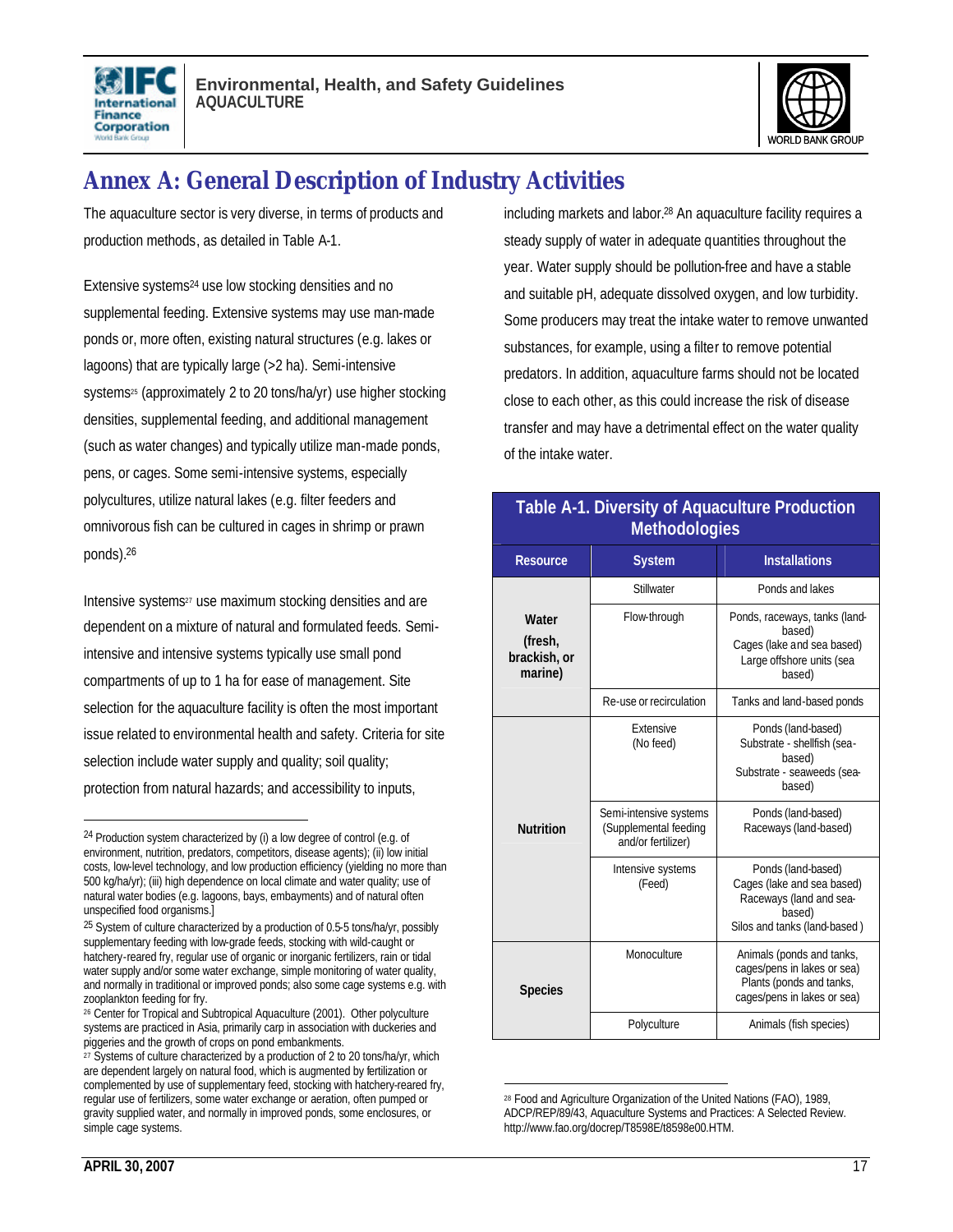

![](_page_16_Picture_2.jpeg)

## **Annex A: General Description of Industry Activities**

The aquaculture sector is very diverse, in terms of products and production methods, as detailed in Table A-1.

Extensive systems24 use low stocking densities and no supplemental feeding. Extensive systems may use man-made ponds or, more often, existing natural structures (e.g. lakes or lagoons) that are typically large (>2 ha). Semi-intensive systems<sup>25</sup> (approximately 2 to 20 tons/ha/yr) use higher stocking densities, supplemental feeding, and additional management (such as water changes) and typically utilize man-made ponds, pens, or cages. Some semi-intensive systems, especially polycultures, utilize natural lakes (e.g. filter feeders and omnivorous fish can be cultured in cages in shrimp or prawn ponds).<sup>26</sup>

Intensive systems<sup>27</sup> use maximum stocking densities and are dependent on a mixture of natural and formulated feeds. Semiintensive and intensive systems typically use small pond compartments of up to 1 ha for ease of management. Site selection for the aquaculture facility is often the most important issue related to environmental health and safety. Criteria for site selection include water supply and quality; soil quality; protection from natural hazards; and accessibility to inputs,

**APRIL 30, 2007** 17

 $\overline{a}$ 

including markets and labor.<sup>28</sup> An aquaculture facility requires a steady supply of water in adequate quantities throughout the year. Water supply should be pollution-free and have a stable and suitable pH, adequate dissolved oxygen, and low turbidity. Some producers may treat the intake water to remove unwanted substances, for example, using a filter to remove potential predators. In addition, aquaculture farms should not be located close to each other, as this could increase the risk of disease transfer and may have a detrimental effect on the water quality of the intake water.

| <b>INICITIOUUIUUICS</b>                     |                                                                       |                                                                                                                       |  |
|---------------------------------------------|-----------------------------------------------------------------------|-----------------------------------------------------------------------------------------------------------------------|--|
| <b>Resource</b>                             | <b>System</b>                                                         | <b>Installations</b>                                                                                                  |  |
|                                             | Stillwater                                                            | Ponds and lakes                                                                                                       |  |
| Water<br>(fresh,<br>brackish, or<br>marine) | Flow-through                                                          | Ponds, raceways, tanks (land-<br>based)<br>Cages (lake and sea based)<br>Large offshore units (sea<br>based)          |  |
|                                             | Re-use or recirculation                                               | Tanks and land-based ponds                                                                                            |  |
|                                             | Extensive<br>(No feed)                                                | Ponds (land-based)<br>Substrate - shellfish (sea-<br>based)<br>Substrate - seaweeds (sea-<br>based)                   |  |
| <b>Nutrition</b>                            | Semi-intensive systems<br>(Supplemental feeding<br>and/or fertilizer) | Ponds (land-based)<br>Raceways (land-based)                                                                           |  |
|                                             | Intensive systems<br>(Feed)                                           | Ponds (land-based)<br>Cages (lake and sea based)<br>Raceways (land and sea-<br>based)<br>Silos and tanks (land-based) |  |
| <b>Species</b>                              | Monoculture                                                           | Animals (ponds and tanks,<br>cages/pens in lakes or sea)<br>Plants (ponds and tanks,<br>cages/pens in lakes or sea)   |  |
|                                             | Polyculture                                                           | Animals (fish species)                                                                                                |  |

## **Table A-1. Diversity of Aquaculture Production Methodologies**

 $24$  Production system characterized by (i) a low degree of control (e.g. of environment, nutrition, predators, competitors, disease agents); (ii) low initial costs, low-level technology, and low production efficiency (yielding no more than 500 kg/ha/yr); (iii) high dependence on local climate and water quality; use of natural water bodies (e.g. lagoons, bays, embayments) and of natural often unspecified food organisms.]

 $25$  System of culture characterized by a production of 0.5-5 tons/ha/yr, possibly supplementary feeding with low-grade feeds, stocking with wild-caught or hatchery-reared fry, regular use of organic or inorganic fertilizers, rain or tidal water supply and/or some water exchange, simple monitoring of water quality, and normally in traditional or improved ponds; also some cage systems e.g. with zooplankton feeding for fry.

<sup>26</sup> Center for Tropical and Subtropical Aquaculture (2001). Other polyculture systems are practiced in Asia, primarily carp in association with duckeries and piggeries and the growth of crops on pond embankments.

<sup>&</sup>lt;sup>27</sup> Systems of culture characterized by a production of 2 to 20 tons/ha/yr, which are dependent largely on natural food, which is augmented by fertilization or complemented by use of supplementary feed, stocking with hatchery-reared fry, regular use of fertilizers, some water exchange or aeration, often pumped or gravity supplied water, and normally in improved ponds, some enclosures, or simple cage systems.

 $\overline{a}$ <sup>28</sup> Food and Agriculture Organization of the United Nations (FAO), 1989, ADCP/REP/89/43, Aquaculture Systems and Practices: A Selected Review. http://www.fao.org/docrep/T8598E/t8598e00.HTM.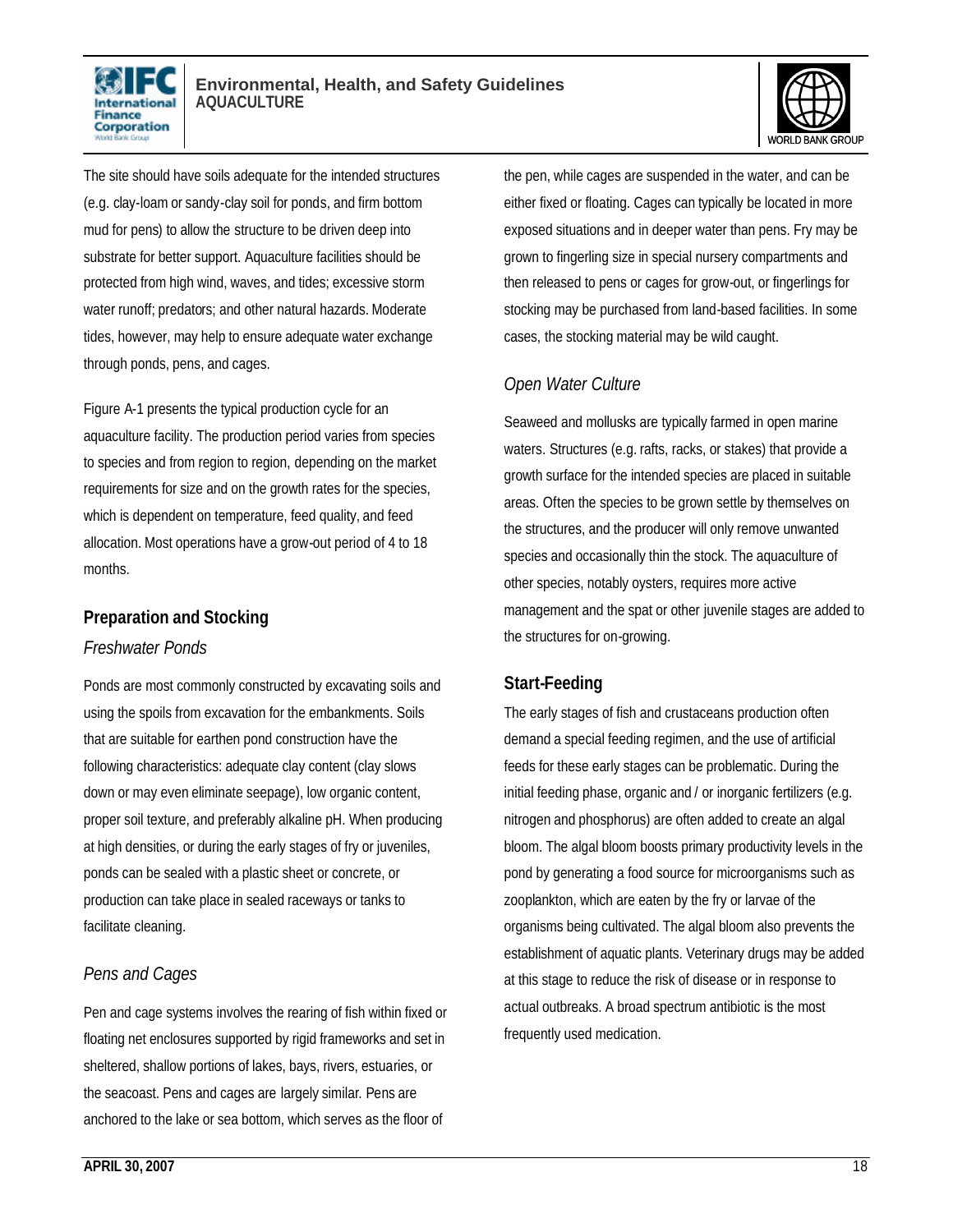![](_page_17_Picture_0.jpeg)

![](_page_17_Picture_2.jpeg)

The site should have soils adequate for the intended structures (e.g. clay-loam or sandy-clay soil for ponds, and firm bottom mud for pens) to allow the structure to be driven deep into substrate for better support. Aquaculture facilities should be protected from high wind, waves, and tides; excessive storm water runoff; predators; and other natural hazards. Moderate tides, however, may help to ensure adequate water exchange through ponds, pens, and cages.

Figure A-1 presents the typical production cycle for an aquaculture facility. The production period varies from species to species and from region to region, depending on the market requirements for size and on the growth rates for the species, which is dependent on temperature, feed quality, and feed allocation. Most operations have a grow-out period of 4 to 18 months.

#### **Preparation and Stocking**

#### *Freshwater Ponds*

Ponds are most commonly constructed by excavating soils and using the spoils from excavation for the embankments. Soils that are suitable for earthen pond construction have the following characteristics: adequate clay content (clay slows down or may even eliminate seepage), low organic content, proper soil texture, and preferably alkaline pH. When producing at high densities, or during the early stages of fry or juveniles, ponds can be sealed with a plastic sheet or concrete, or production can take place in sealed raceways or tanks to facilitate cleaning.

#### *Pens and Cages*

Pen and cage systems involves the rearing of fish within fixed or floating net enclosures supported by rigid frameworks and set in sheltered, shallow portions of lakes, bays, rivers, estuaries, or the seacoast. Pens and cages are largely similar. Pens are anchored to the lake or sea bottom, which serves as the floor of

the pen, while cages are suspended in the water, and can be either fixed or floating. Cages can typically be located in more exposed situations and in deeper water than pens. Fry may be grown to fingerling size in special nursery compartments and then released to pens or cages for grow-out, or fingerlings for stocking may be purchased from land-based facilities. In some cases, the stocking material may be wild caught.

#### *Open Water Culture*

Seaweed and mollusks are typically farmed in open marine waters. Structures (e.g. rafts, racks, or stakes) that provide a growth surface for the intended species are placed in suitable areas. Often the species to be grown settle by themselves on the structures, and the producer will only remove unwanted species and occasionally thin the stock. The aquaculture of other species, notably oysters, requires more active management and the spat or other juvenile stages are added to the structures for on-growing.

#### **Start-Feeding**

The early stages of fish and crustaceans production often demand a special feeding regimen, and the use of artificial feeds for these early stages can be problematic. During the initial feeding phase, organic and / or inorganic fertilizers (e.g. nitrogen and phosphorus) are often added to create an algal bloom. The algal bloom boosts primary productivity levels in the pond by generating a food source for microorganisms such as zooplankton, which are eaten by the fry or larvae of the organisms being cultivated. The algal bloom also prevents the establishment of aquatic plants. Veterinary drugs may be added at this stage to reduce the risk of disease or in response to actual outbreaks. A broad spectrum antibiotic is the most frequently used medication.